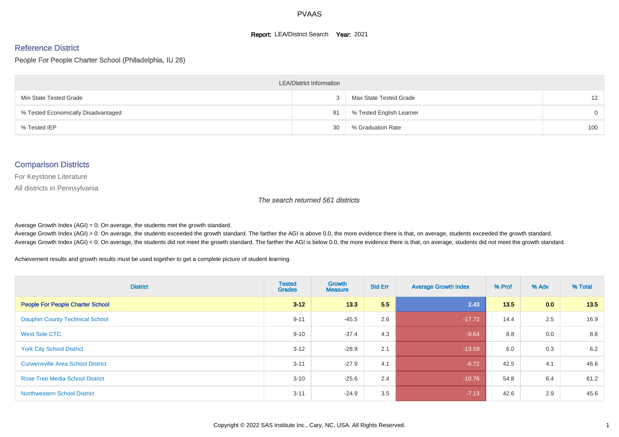#### **Report: LEA/District Search Year: 2021**

#### Reference District

People For People Charter School (Philadelphia, IU 26)

| <b>LEA/District Information</b>     |    |                          |          |  |  |  |  |  |  |  |
|-------------------------------------|----|--------------------------|----------|--|--|--|--|--|--|--|
| Min State Tested Grade              | 3  | Max State Tested Grade   | 12       |  |  |  |  |  |  |  |
| % Tested Economically Disadvantaged | 81 | % Tested English Learner | $\Omega$ |  |  |  |  |  |  |  |
| % Tested IEP                        | 30 | % Graduation Rate        | 100      |  |  |  |  |  |  |  |

#### Comparison Districts

For Keystone Literature

All districts in Pennsylvania

The search returned 561 districts

Average Growth Index  $(AGI) = 0$ : On average, the students met the growth standard.

Average Growth Index (AGI) > 0: On average, the students exceeded the growth standard. The farther the AGI is above 0.0, the more evidence there is that, on average, students exceeded the growth standard. Average Growth Index (AGI) < 0: On average, the students did not meet the growth standard. The farther the AGI is below 0.0, the more evidence there is that, on average, students did not meet the growth standard.

Achievement results and growth results must be used together to get a complete picture of student learning.

| <b>District</b>                          | <b>Tested</b><br><b>Grades</b> | <b>Growth</b><br><b>Measure</b> | <b>Std Err</b> | <b>Average Growth Index</b> | % Prof | % Adv | % Total |
|------------------------------------------|--------------------------------|---------------------------------|----------------|-----------------------------|--------|-------|---------|
| <b>People For People Charter School</b>  | $3 - 12$                       | 13.3                            | 5.5            | 2.43                        | 13.5   | 0.0   | 13.5    |
| <b>Dauphin County Technical School</b>   | $9 - 11$                       | $-45.5$                         | 2.6            | $-17.72$                    | 14.4   | 2.5   | 16.9    |
| West Side CTC                            | $9 - 10$                       | $-37.4$                         | 4.3            | $-8.64$                     | 8.8    | 0.0   | 8.8     |
| <b>York City School District</b>         | $3 - 12$                       | $-28.9$                         | 2.1            | $-13.59$                    | 6.0    | 0.3   | 6.2     |
| <b>Curwensville Area School District</b> | $3 - 11$                       | $-27.9$                         | 4.1            | $-6.72$                     | 42.5   | 4.1   | 46.6    |
| <b>Rose Tree Media School District</b>   | $3 - 10$                       | $-25.6$                         | 2.4            | $-10.76$                    | 54.8   | 6.4   | 61.2    |
| <b>Northwestern School District</b>      | $3 - 11$                       | $-24.9$                         | 3.5            | $-7.13$                     | 42.6   | 2.9   | 45.6    |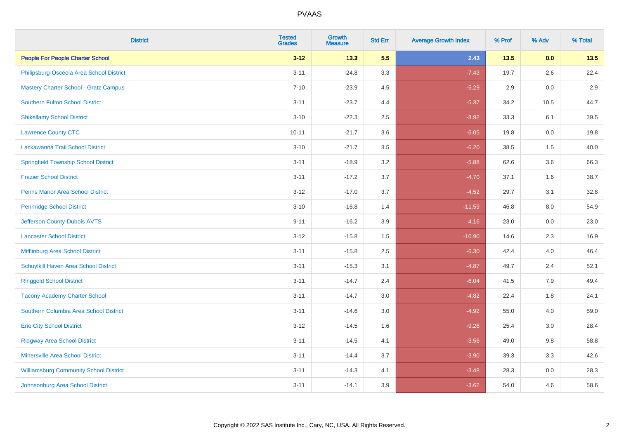| <b>District</b>                               | <b>Tested</b><br><b>Grades</b> | <b>Growth</b><br><b>Measure</b> | <b>Std Err</b> | <b>Average Growth Index</b> | % Prof | % Adv | % Total |
|-----------------------------------------------|--------------------------------|---------------------------------|----------------|-----------------------------|--------|-------|---------|
| <b>People For People Charter School</b>       | $3 - 12$                       | 13.3                            | 5.5            | 2.43                        | $13.5$ | 0.0   | 13.5    |
| Philipsburg-Osceola Area School District      | $3 - 11$                       | $-24.8$                         | 3.3            | $-7.43$                     | 19.7   | 2.6   | 22.4    |
| <b>Mastery Charter School - Gratz Campus</b>  | $7 - 10$                       | $-23.9$                         | 4.5            | $-5.29$                     | 2.9    | 0.0   | 2.9     |
| <b>Southern Fulton School District</b>        | $3 - 11$                       | $-23.7$                         | 4.4            | $-5.37$                     | 34.2   | 10.5  | 44.7    |
| <b>Shikellamy School District</b>             | $3 - 10$                       | $-22.3$                         | 2.5            | $-8.92$                     | 33.3   | 6.1   | 39.5    |
| <b>Lawrence County CTC</b>                    | $10 - 11$                      | $-21.7$                         | 3.6            | $-6.05$                     | 19.8   | 0.0   | 19.8    |
| Lackawanna Trail School District              | $3 - 10$                       | $-21.7$                         | 3.5            | $-6.20$                     | 38.5   | 1.5   | 40.0    |
| <b>Springfield Township School District</b>   | $3 - 11$                       | $-18.9$                         | 3.2            | $-5.88$                     | 62.6   | 3.6   | 66.3    |
| <b>Frazier School District</b>                | $3 - 11$                       | $-17.2$                         | 3.7            | $-4.70$                     | 37.1   | 1.6   | 38.7    |
| <b>Penns Manor Area School District</b>       | $3 - 12$                       | $-17.0$                         | 3.7            | $-4.52$                     | 29.7   | 3.1   | 32.8    |
| <b>Pennridge School District</b>              | $3 - 10$                       | $-16.8$                         | 1.4            | $-11.59$                    | 46.8   | 8.0   | 54.9    |
| Jefferson County-Dubois AVTS                  | $9 - 11$                       | $-16.2$                         | 3.9            | $-4.16$                     | 23.0   | 0.0   | 23.0    |
| <b>Lancaster School District</b>              | $3 - 12$                       | $-15.8$                         | $1.5\,$        | $-10.90$                    | 14.6   | 2.3   | 16.9    |
| Mifflinburg Area School District              | $3 - 11$                       | $-15.8$                         | 2.5            | $-6.30$                     | 42.4   | 4.0   | 46.4    |
| Schuylkill Haven Area School District         | $3 - 11$                       | $-15.3$                         | 3.1            | $-4.87$                     | 49.7   | 2.4   | 52.1    |
| <b>Ringgold School District</b>               | $3 - 11$                       | $-14.7$                         | 2.4            | $-6.04$                     | 41.5   | 7.9   | 49.4    |
| <b>Tacony Academy Charter School</b>          | $3 - 11$                       | $-14.7$                         | 3.0            | $-4.82$                     | 22.4   | 1.8   | 24.1    |
| Southern Columbia Area School District        | $3 - 11$                       | $-14.6$                         | 3.0            | $-4.92$                     | 55.0   | 4.0   | 59.0    |
| <b>Erie City School District</b>              | $3 - 12$                       | $-14.5$                         | 1.6            | $-9.26$                     | 25.4   | 3.0   | 28.4    |
| <b>Ridgway Area School District</b>           | $3 - 11$                       | $-14.5$                         | 4.1            | $-3.56$                     | 49.0   | 9.8   | 58.8    |
| <b>Minersville Area School District</b>       | $3 - 11$                       | $-14.4$                         | 3.7            | $-3.90$                     | 39.3   | 3.3   | 42.6    |
| <b>Williamsburg Community School District</b> | $3 - 11$                       | $-14.3$                         | 4.1            | $-3.48$                     | 28.3   | 0.0   | 28.3    |
| Johnsonburg Area School District              | $3 - 11$                       | $-14.1$                         | 3.9            | $-3.62$                     | 54.0   | 4.6   | 58.6    |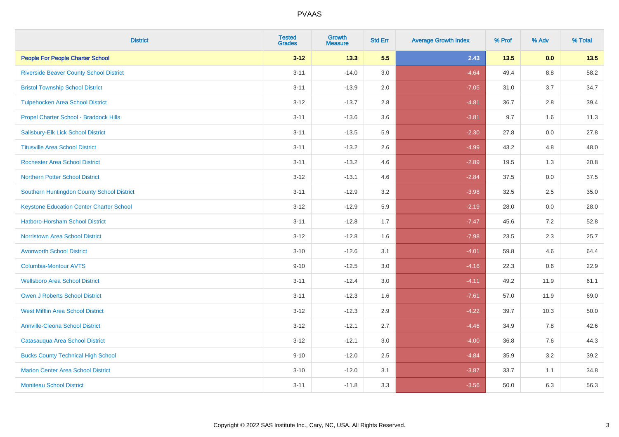| <b>District</b>                                 | <b>Tested</b><br><b>Grades</b> | <b>Growth</b><br><b>Measure</b> | <b>Std Err</b> | <b>Average Growth Index</b> | % Prof | % Adv   | % Total |
|-------------------------------------------------|--------------------------------|---------------------------------|----------------|-----------------------------|--------|---------|---------|
| <b>People For People Charter School</b>         | $3 - 12$                       | 13.3                            | 5.5            | 2.43                        | 13.5   | 0.0     | 13.5    |
| <b>Riverside Beaver County School District</b>  | $3 - 11$                       | $-14.0$                         | 3.0            | $-4.64$                     | 49.4   | $8.8\,$ | 58.2    |
| <b>Bristol Township School District</b>         | $3 - 11$                       | $-13.9$                         | 2.0            | $-7.05$                     | 31.0   | 3.7     | 34.7    |
| <b>Tulpehocken Area School District</b>         | $3 - 12$                       | $-13.7$                         | 2.8            | $-4.81$                     | 36.7   | 2.8     | 39.4    |
| Propel Charter School - Braddock Hills          | $3 - 11$                       | $-13.6$                         | 3.6            | $-3.81$                     | 9.7    | 1.6     | 11.3    |
| Salisbury-Elk Lick School District              | $3 - 11$                       | $-13.5$                         | 5.9            | $-2.30$                     | 27.8   | 0.0     | 27.8    |
| <b>Titusville Area School District</b>          | $3 - 11$                       | $-13.2$                         | 2.6            | $-4.99$                     | 43.2   | 4.8     | 48.0    |
| <b>Rochester Area School District</b>           | $3 - 11$                       | $-13.2$                         | 4.6            | $-2.89$                     | 19.5   | 1.3     | 20.8    |
| <b>Northern Potter School District</b>          | $3 - 12$                       | $-13.1$                         | 4.6            | $-2.84$                     | 37.5   | 0.0     | 37.5    |
| Southern Huntingdon County School District      | $3 - 11$                       | $-12.9$                         | 3.2            | $-3.98$                     | 32.5   | 2.5     | 35.0    |
| <b>Keystone Education Center Charter School</b> | $3 - 12$                       | $-12.9$                         | 5.9            | $-2.19$                     | 28.0   | 0.0     | 28.0    |
| <b>Hatboro-Horsham School District</b>          | $3 - 11$                       | $-12.8$                         | 1.7            | $-7.47$                     | 45.6   | 7.2     | 52.8    |
| <b>Norristown Area School District</b>          | $3 - 12$                       | $-12.8$                         | 1.6            | $-7.98$                     | 23.5   | 2.3     | 25.7    |
| <b>Avonworth School District</b>                | $3 - 10$                       | $-12.6$                         | 3.1            | $-4.01$                     | 59.8   | 4.6     | 64.4    |
| <b>Columbia-Montour AVTS</b>                    | $9 - 10$                       | $-12.5$                         | 3.0            | $-4.16$                     | 22.3   | 0.6     | 22.9    |
| <b>Wellsboro Area School District</b>           | $3 - 11$                       | $-12.4$                         | 3.0            | $-4.11$                     | 49.2   | 11.9    | 61.1    |
| Owen J Roberts School District                  | $3 - 11$                       | $-12.3$                         | 1.6            | $-7.61$                     | 57.0   | 11.9    | 69.0    |
| <b>West Mifflin Area School District</b>        | $3 - 12$                       | $-12.3$                         | 2.9            | $-4.22$                     | 39.7   | 10.3    | 50.0    |
| <b>Annville-Cleona School District</b>          | $3 - 12$                       | $-12.1$                         | 2.7            | $-4.46$                     | 34.9   | 7.8     | 42.6    |
| Catasauqua Area School District                 | $3 - 12$                       | $-12.1$                         | 3.0            | $-4.00$                     | 36.8   | 7.6     | 44.3    |
| <b>Bucks County Technical High School</b>       | $9 - 10$                       | $-12.0$                         | 2.5            | $-4.84$                     | 35.9   | 3.2     | 39.2    |
| <b>Marion Center Area School District</b>       | $3 - 10$                       | $-12.0$                         | 3.1            | $-3.87$                     | 33.7   | 1.1     | 34.8    |
| <b>Moniteau School District</b>                 | $3 - 11$                       | $-11.8$                         | 3.3            | $-3.56$                     | 50.0   | 6.3     | 56.3    |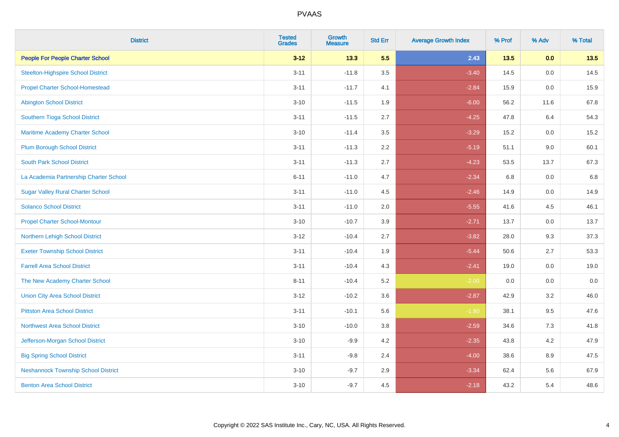| <b>District</b>                            | <b>Tested</b><br><b>Grades</b> | <b>Growth</b><br><b>Measure</b> | <b>Std Err</b> | <b>Average Growth Index</b> | % Prof | % Adv   | % Total |
|--------------------------------------------|--------------------------------|---------------------------------|----------------|-----------------------------|--------|---------|---------|
| <b>People For People Charter School</b>    | $3 - 12$                       | 13.3                            | 5.5            | 2.43                        | 13.5   | 0.0     | 13.5    |
| <b>Steelton-Highspire School District</b>  | $3 - 11$                       | $-11.8$                         | 3.5            | $-3.40$                     | 14.5   | 0.0     | 14.5    |
| <b>Propel Charter School-Homestead</b>     | $3 - 11$                       | $-11.7$                         | 4.1            | $-2.84$                     | 15.9   | 0.0     | 15.9    |
| <b>Abington School District</b>            | $3 - 10$                       | $-11.5$                         | 1.9            | $-6.00$                     | 56.2   | 11.6    | 67.8    |
| Southern Tioga School District             | $3 - 11$                       | $-11.5$                         | 2.7            | $-4.25$                     | 47.8   | 6.4     | 54.3    |
| Maritime Academy Charter School            | $3 - 10$                       | $-11.4$                         | 3.5            | $-3.29$                     | 15.2   | 0.0     | 15.2    |
| <b>Plum Borough School District</b>        | $3 - 11$                       | $-11.3$                         | 2.2            | $-5.19$                     | 51.1   | 9.0     | 60.1    |
| <b>South Park School District</b>          | $3 - 11$                       | $-11.3$                         | 2.7            | $-4.23$                     | 53.5   | 13.7    | 67.3    |
| La Academia Partnership Charter School     | $6 - 11$                       | $-11.0$                         | 4.7            | $-2.34$                     | 6.8    | 0.0     | 6.8     |
| <b>Sugar Valley Rural Charter School</b>   | $3 - 11$                       | $-11.0$                         | 4.5            | $-2.46$                     | 14.9   | 0.0     | 14.9    |
| <b>Solanco School District</b>             | $3 - 11$                       | $-11.0$                         | 2.0            | $-5.55$                     | 41.6   | 4.5     | 46.1    |
| <b>Propel Charter School-Montour</b>       | $3 - 10$                       | $-10.7$                         | 3.9            | $-2.71$                     | 13.7   | 0.0     | 13.7    |
| Northern Lehigh School District            | $3 - 12$                       | $-10.4$                         | 2.7            | $-3.82$                     | 28.0   | 9.3     | 37.3    |
| <b>Exeter Township School District</b>     | $3 - 11$                       | $-10.4$                         | 1.9            | $-5.44$                     | 50.6   | 2.7     | 53.3    |
| <b>Farrell Area School District</b>        | $3 - 11$                       | $-10.4$                         | 4.3            | $-2.41$                     | 19.0   | 0.0     | 19.0    |
| The New Academy Charter School             | $8 - 11$                       | $-10.4$                         | 5.2            | $-2.00$                     | 0.0    | $0.0\,$ | $0.0\,$ |
| <b>Union City Area School District</b>     | $3 - 12$                       | $-10.2$                         | 3.6            | $-2.87$                     | 42.9   | 3.2     | 46.0    |
| <b>Pittston Area School District</b>       | $3 - 11$                       | $-10.1$                         | 5.6            | $-1.80$                     | 38.1   | 9.5     | 47.6    |
| <b>Northwest Area School District</b>      | $3 - 10$                       | $-10.0$                         | 3.8            | $-2.59$                     | 34.6   | $7.3$   | 41.8    |
| Jefferson-Morgan School District           | $3 - 10$                       | $-9.9$                          | 4.2            | $-2.35$                     | 43.8   | 4.2     | 47.9    |
| <b>Big Spring School District</b>          | $3 - 11$                       | $-9.8$                          | 2.4            | $-4.00$                     | 38.6   | 8.9     | 47.5    |
| <b>Neshannock Township School District</b> | $3 - 10$                       | $-9.7$                          | 2.9            | $-3.34$                     | 62.4   | 5.6     | 67.9    |
| <b>Benton Area School District</b>         | $3 - 10$                       | $-9.7$                          | 4.5            | $-2.18$                     | 43.2   | 5.4     | 48.6    |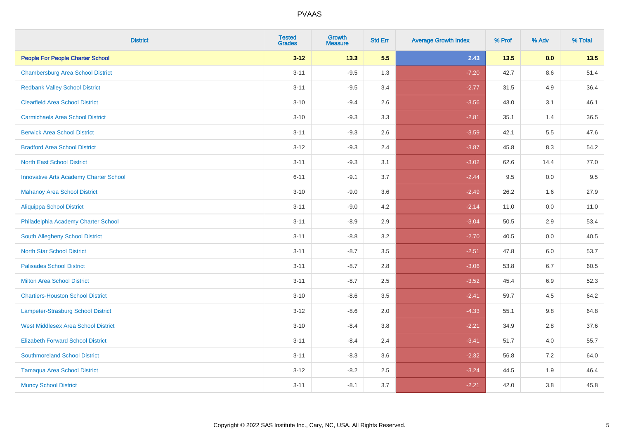| <b>District</b>                               | <b>Tested</b><br><b>Grades</b> | Growth<br><b>Measure</b> | <b>Std Err</b> | <b>Average Growth Index</b> | % Prof | % Adv   | % Total |
|-----------------------------------------------|--------------------------------|--------------------------|----------------|-----------------------------|--------|---------|---------|
| <b>People For People Charter School</b>       | $3 - 12$                       | 13.3                     | 5.5            | 2.43                        | 13.5   | 0.0     | 13.5    |
| <b>Chambersburg Area School District</b>      | $3 - 11$                       | $-9.5$                   | 1.3            | $-7.20$                     | 42.7   | $8.6\,$ | 51.4    |
| <b>Redbank Valley School District</b>         | $3 - 11$                       | $-9.5$                   | 3.4            | $-2.77$                     | 31.5   | 4.9     | 36.4    |
| <b>Clearfield Area School District</b>        | $3 - 10$                       | $-9.4$                   | 2.6            | $-3.56$                     | 43.0   | 3.1     | 46.1    |
| <b>Carmichaels Area School District</b>       | $3 - 10$                       | $-9.3$                   | 3.3            | $-2.81$                     | 35.1   | 1.4     | 36.5    |
| <b>Berwick Area School District</b>           | $3 - 11$                       | $-9.3$                   | 2.6            | $-3.59$                     | 42.1   | 5.5     | 47.6    |
| <b>Bradford Area School District</b>          | $3 - 12$                       | $-9.3$                   | 2.4            | $-3.87$                     | 45.8   | 8.3     | 54.2    |
| <b>North East School District</b>             | $3 - 11$                       | $-9.3$                   | 3.1            | $-3.02$                     | 62.6   | 14.4    | 77.0    |
| <b>Innovative Arts Academy Charter School</b> | $6 - 11$                       | $-9.1$                   | 3.7            | $-2.44$                     | 9.5    | 0.0     | 9.5     |
| <b>Mahanoy Area School District</b>           | $3 - 10$                       | $-9.0$                   | 3.6            | $-2.49$                     | 26.2   | 1.6     | 27.9    |
| <b>Aliquippa School District</b>              | $3 - 11$                       | $-9.0$                   | 4.2            | $-2.14$                     | 11.0   | 0.0     | 11.0    |
| Philadelphia Academy Charter School           | $3 - 11$                       | $-8.9$                   | 2.9            | $-3.04$                     | 50.5   | 2.9     | 53.4    |
| South Allegheny School District               | $3 - 11$                       | $-8.8$                   | 3.2            | $-2.70$                     | 40.5   | 0.0     | 40.5    |
| <b>North Star School District</b>             | $3 - 11$                       | $-8.7$                   | 3.5            | $-2.51$                     | 47.8   | 6.0     | 53.7    |
| <b>Palisades School District</b>              | $3 - 11$                       | $-8.7$                   | 2.8            | $-3.06$                     | 53.8   | 6.7     | 60.5    |
| <b>Milton Area School District</b>            | $3 - 11$                       | $-8.7$                   | 2.5            | $-3.52$                     | 45.4   | 6.9     | 52.3    |
| <b>Chartiers-Houston School District</b>      | $3 - 10$                       | $-8.6$                   | 3.5            | $-2.41$                     | 59.7   | 4.5     | 64.2    |
| Lampeter-Strasburg School District            | $3 - 12$                       | $-8.6$                   | 2.0            | $-4.33$                     | 55.1   | 9.8     | 64.8    |
| <b>West Middlesex Area School District</b>    | $3 - 10$                       | $-8.4$                   | 3.8            | $-2.21$                     | 34.9   | 2.8     | 37.6    |
| <b>Elizabeth Forward School District</b>      | $3 - 11$                       | $-8.4$                   | 2.4            | $-3.41$                     | 51.7   | 4.0     | 55.7    |
| <b>Southmoreland School District</b>          | $3 - 11$                       | $-8.3$                   | 3.6            | $-2.32$                     | 56.8   | 7.2     | 64.0    |
| <b>Tamaqua Area School District</b>           | $3 - 12$                       | $-8.2$                   | 2.5            | $-3.24$                     | 44.5   | 1.9     | 46.4    |
| <b>Muncy School District</b>                  | $3 - 11$                       | $-8.1$                   | 3.7            | $-2.21$                     | 42.0   | 3.8     | 45.8    |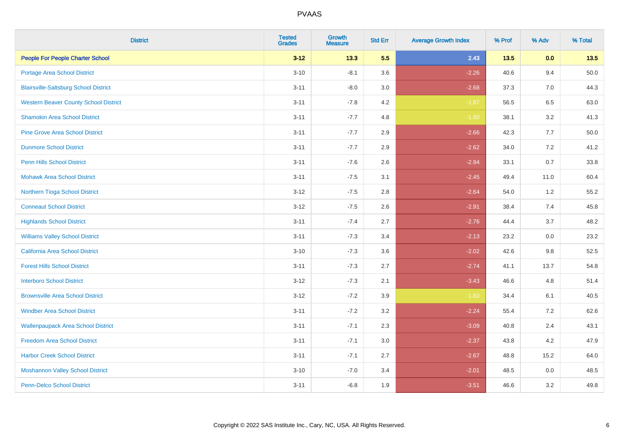| <b>District</b>                              | <b>Tested</b><br><b>Grades</b> | <b>Growth</b><br><b>Measure</b> | <b>Std Err</b> | <b>Average Growth Index</b> | % Prof | % Adv   | % Total |
|----------------------------------------------|--------------------------------|---------------------------------|----------------|-----------------------------|--------|---------|---------|
| <b>People For People Charter School</b>      | $3 - 12$                       | 13.3                            | 5.5            | 2.43                        | $13.5$ | 0.0     | 13.5    |
| Portage Area School District                 | $3 - 10$                       | $-8.1$                          | 3.6            | $-2.26$                     | 40.6   | 9.4     | 50.0    |
| <b>Blairsville-Saltsburg School District</b> | $3 - 11$                       | $-8.0$                          | 3.0            | $-2.68$                     | 37.3   | 7.0     | 44.3    |
| <b>Western Beaver County School District</b> | $3 - 11$                       | $-7.8$                          | 4.2            | $-1.87$                     | 56.5   | 6.5     | 63.0    |
| <b>Shamokin Area School District</b>         | $3 - 11$                       | $-7.7$                          | 4.8            | $-1.60$                     | 38.1   | 3.2     | 41.3    |
| <b>Pine Grove Area School District</b>       | $3 - 11$                       | $-7.7$                          | 2.9            | $-2.66$                     | 42.3   | 7.7     | 50.0    |
| <b>Dunmore School District</b>               | $3 - 11$                       | $-7.7$                          | 2.9            | $-2.62$                     | 34.0   | 7.2     | 41.2    |
| <b>Penn Hills School District</b>            | $3 - 11$                       | $-7.6$                          | 2.6            | $-2.94$                     | 33.1   | 0.7     | 33.8    |
| <b>Mohawk Area School District</b>           | $3 - 11$                       | $-7.5$                          | 3.1            | $-2.45$                     | 49.4   | 11.0    | 60.4    |
| Northern Tioga School District               | $3 - 12$                       | $-7.5$                          | 2.8            | $-2.64$                     | 54.0   | 1.2     | 55.2    |
| <b>Conneaut School District</b>              | $3 - 12$                       | $-7.5$                          | 2.6            | $-2.91$                     | 38.4   | 7.4     | 45.8    |
| <b>Highlands School District</b>             | $3 - 11$                       | $-7.4$                          | 2.7            | $-2.76$                     | 44.4   | 3.7     | 48.2    |
| <b>Williams Valley School District</b>       | $3 - 11$                       | $-7.3$                          | 3.4            | $-2.13$                     | 23.2   | 0.0     | 23.2    |
| <b>California Area School District</b>       | $3 - 10$                       | $-7.3$                          | 3.6            | $-2.02$                     | 42.6   | 9.8     | 52.5    |
| <b>Forest Hills School District</b>          | $3 - 11$                       | $-7.3$                          | 2.7            | $-2.74$                     | 41.1   | 13.7    | 54.8    |
| <b>Interboro School District</b>             | $3 - 12$                       | $-7.3$                          | 2.1            | $-3.43$                     | 46.6   | 4.8     | 51.4    |
| <b>Brownsville Area School District</b>      | $3 - 12$                       | $-7.2$                          | 3.9            | $-1.83$                     | 34.4   | 6.1     | 40.5    |
| <b>Windber Area School District</b>          | $3 - 11$                       | $-7.2$                          | 3.2            | $-2.24$                     | 55.4   | 7.2     | 62.6    |
| <b>Wallenpaupack Area School District</b>    | $3 - 11$                       | $-7.1$                          | 2.3            | $-3.09$                     | 40.8   | 2.4     | 43.1    |
| <b>Freedom Area School District</b>          | $3 - 11$                       | $-7.1$                          | 3.0            | $-2.37$                     | 43.8   | 4.2     | 47.9    |
| <b>Harbor Creek School District</b>          | $3 - 11$                       | $-7.1$                          | 2.7            | $-2.67$                     | 48.8   | 15.2    | 64.0    |
| <b>Moshannon Valley School District</b>      | $3 - 10$                       | $-7.0$                          | 3.4            | $-2.01$                     | 48.5   | $0.0\,$ | 48.5    |
| <b>Penn-Delco School District</b>            | $3 - 11$                       | $-6.8$                          | 1.9            | $-3.51$                     | 46.6   | 3.2     | 49.8    |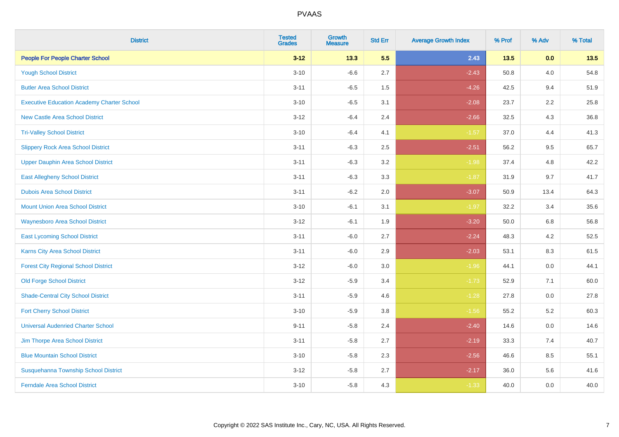| <b>District</b>                                   | <b>Tested</b><br><b>Grades</b> | <b>Growth</b><br><b>Measure</b> | <b>Std Err</b> | <b>Average Growth Index</b> | % Prof | % Adv   | % Total |
|---------------------------------------------------|--------------------------------|---------------------------------|----------------|-----------------------------|--------|---------|---------|
| <b>People For People Charter School</b>           | $3 - 12$                       | 13.3                            | 5.5            | 2.43                        | 13.5   | 0.0     | 13.5    |
| <b>Yough School District</b>                      | $3 - 10$                       | $-6.6$                          | 2.7            | $-2.43$                     | 50.8   | 4.0     | 54.8    |
| <b>Butler Area School District</b>                | $3 - 11$                       | $-6.5$                          | 1.5            | $-4.26$                     | 42.5   | 9.4     | 51.9    |
| <b>Executive Education Academy Charter School</b> | $3 - 10$                       | $-6.5$                          | 3.1            | $-2.08$                     | 23.7   | 2.2     | 25.8    |
| <b>New Castle Area School District</b>            | $3 - 12$                       | $-6.4$                          | 2.4            | $-2.66$                     | 32.5   | 4.3     | 36.8    |
| <b>Tri-Valley School District</b>                 | $3 - 10$                       | $-6.4$                          | 4.1            | $-1.57$                     | 37.0   | 4.4     | 41.3    |
| <b>Slippery Rock Area School District</b>         | $3 - 11$                       | $-6.3$                          | 2.5            | $-2.51$                     | 56.2   | 9.5     | 65.7    |
| <b>Upper Dauphin Area School District</b>         | $3 - 11$                       | $-6.3$                          | 3.2            | $-1.98$                     | 37.4   | 4.8     | 42.2    |
| <b>East Allegheny School District</b>             | $3 - 11$                       | $-6.3$                          | 3.3            | $-1.87$                     | 31.9   | 9.7     | 41.7    |
| <b>Dubois Area School District</b>                | $3 - 11$                       | $-6.2$                          | 2.0            | $-3.07$                     | 50.9   | 13.4    | 64.3    |
| <b>Mount Union Area School District</b>           | $3 - 10$                       | $-6.1$                          | 3.1            | $-1.97$                     | 32.2   | 3.4     | 35.6    |
| Waynesboro Area School District                   | $3 - 12$                       | $-6.1$                          | 1.9            | $-3.20$                     | 50.0   | 6.8     | 56.8    |
| <b>East Lycoming School District</b>              | $3 - 11$                       | $-6.0$                          | 2.7            | $-2.24$                     | 48.3   | $4.2\,$ | 52.5    |
| <b>Karns City Area School District</b>            | $3 - 11$                       | $-6.0$                          | 2.9            | $-2.03$                     | 53.1   | 8.3     | 61.5    |
| <b>Forest City Regional School District</b>       | $3 - 12$                       | $-6.0$                          | 3.0            | $-1.96$                     | 44.1   | 0.0     | 44.1    |
| <b>Old Forge School District</b>                  | $3 - 12$                       | $-5.9$                          | 3.4            | $-1.73$                     | 52.9   | 7.1     | 60.0    |
| <b>Shade-Central City School District</b>         | $3 - 11$                       | $-5.9$                          | 4.6            | $-1.28$                     | 27.8   | 0.0     | 27.8    |
| <b>Fort Cherry School District</b>                | $3 - 10$                       | $-5.9$                          | 3.8            | $-1.56$                     | 55.2   | 5.2     | 60.3    |
| <b>Universal Audenried Charter School</b>         | $9 - 11$                       | $-5.8$                          | 2.4            | $-2.40$                     | 14.6   | 0.0     | 14.6    |
| Jim Thorpe Area School District                   | $3 - 11$                       | $-5.8$                          | 2.7            | $-2.19$                     | 33.3   | 7.4     | 40.7    |
| <b>Blue Mountain School District</b>              | $3 - 10$                       | $-5.8$                          | 2.3            | $-2.56$                     | 46.6   | 8.5     | 55.1    |
| Susquehanna Township School District              | $3 - 12$                       | $-5.8$                          | 2.7            | $-2.17$                     | 36.0   | 5.6     | 41.6    |
| <b>Ferndale Area School District</b>              | $3 - 10$                       | $-5.8$                          | 4.3            | $-1.33$                     | 40.0   | 0.0     | 40.0    |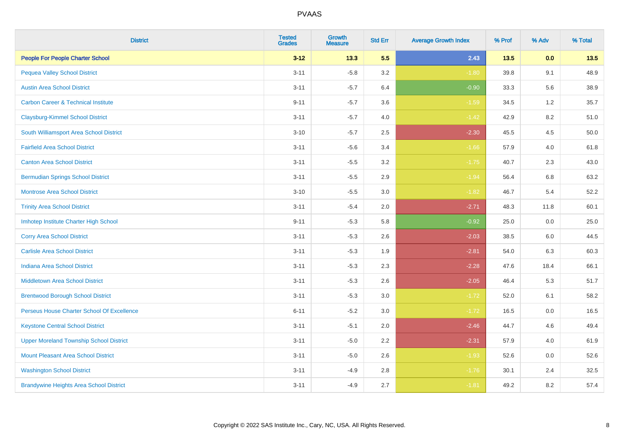| <b>District</b>                                | <b>Tested</b><br><b>Grades</b> | Growth<br><b>Measure</b> | <b>Std Err</b> | <b>Average Growth Index</b> | % Prof | % Adv   | % Total |
|------------------------------------------------|--------------------------------|--------------------------|----------------|-----------------------------|--------|---------|---------|
| <b>People For People Charter School</b>        | $3 - 12$                       | 13.3                     | 5.5            | 2.43                        | $13.5$ | 0.0     | 13.5    |
| <b>Pequea Valley School District</b>           | $3 - 11$                       | $-5.8$                   | 3.2            | $-1.80$                     | 39.8   | 9.1     | 48.9    |
| <b>Austin Area School District</b>             | $3 - 11$                       | $-5.7$                   | 6.4            | $-0.90$                     | 33.3   | 5.6     | 38.9    |
| <b>Carbon Career &amp; Technical Institute</b> | $9 - 11$                       | $-5.7$                   | 3.6            | $-1.59$                     | 34.5   | $1.2\,$ | 35.7    |
| <b>Claysburg-Kimmel School District</b>        | $3 - 11$                       | $-5.7$                   | 4.0            | $-1.42$                     | 42.9   | 8.2     | 51.0    |
| South Williamsport Area School District        | $3 - 10$                       | $-5.7$                   | 2.5            | $-2.30$                     | 45.5   | 4.5     | 50.0    |
| <b>Fairfield Area School District</b>          | $3 - 11$                       | $-5.6$                   | 3.4            | $-1.66$                     | 57.9   | 4.0     | 61.8    |
| <b>Canton Area School District</b>             | $3 - 11$                       | $-5.5$                   | 3.2            | $-1.75$                     | 40.7   | 2.3     | 43.0    |
| <b>Bermudian Springs School District</b>       | $3 - 11$                       | $-5.5$                   | 2.9            | $-1.94$                     | 56.4   | 6.8     | 63.2    |
| <b>Montrose Area School District</b>           | $3 - 10$                       | $-5.5$                   | 3.0            | $-1.82$                     | 46.7   | 5.4     | 52.2    |
| <b>Trinity Area School District</b>            | $3 - 11$                       | $-5.4$                   | 2.0            | $-2.71$                     | 48.3   | 11.8    | 60.1    |
| Imhotep Institute Charter High School          | $9 - 11$                       | $-5.3$                   | 5.8            | $-0.92$                     | 25.0   | 0.0     | 25.0    |
| <b>Corry Area School District</b>              | $3 - 11$                       | $-5.3$                   | 2.6            | $-2.03$                     | 38.5   | 6.0     | 44.5    |
| <b>Carlisle Area School District</b>           | $3 - 11$                       | $-5.3$                   | 1.9            | $-2.81$                     | 54.0   | 6.3     | 60.3    |
| <b>Indiana Area School District</b>            | $3 - 11$                       | $-5.3$                   | 2.3            | $-2.28$                     | 47.6   | 18.4    | 66.1    |
| <b>Middletown Area School District</b>         | $3 - 11$                       | $-5.3$                   | 2.6            | $-2.05$                     | 46.4   | 5.3     | 51.7    |
| <b>Brentwood Borough School District</b>       | $3 - 11$                       | $-5.3$                   | 3.0            | $-1.72$                     | 52.0   | 6.1     | 58.2    |
| Perseus House Charter School Of Excellence     | $6 - 11$                       | $-5.2$                   | 3.0            | $-1.72$                     | 16.5   | 0.0     | 16.5    |
| <b>Keystone Central School District</b>        | $3 - 11$                       | $-5.1$                   | 2.0            | $-2.46$                     | 44.7   | 4.6     | 49.4    |
| <b>Upper Moreland Township School District</b> | $3 - 11$                       | $-5.0$                   | 2.2            | $-2.31$                     | 57.9   | 4.0     | 61.9    |
| <b>Mount Pleasant Area School District</b>     | $3 - 11$                       | $-5.0$                   | 2.6            | $-1.93$                     | 52.6   | 0.0     | 52.6    |
| <b>Washington School District</b>              | $3 - 11$                       | $-4.9$                   | 2.8            | $-1.76$                     | 30.1   | 2.4     | 32.5    |
| <b>Brandywine Heights Area School District</b> | $3 - 11$                       | $-4.9$                   | 2.7            | $-1.81$                     | 49.2   | 8.2     | 57.4    |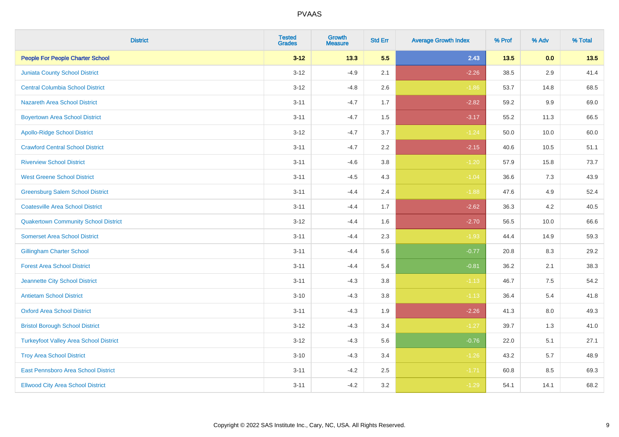| <b>District</b>                               | <b>Tested</b><br><b>Grades</b> | <b>Growth</b><br><b>Measure</b> | <b>Std Err</b> | <b>Average Growth Index</b> | % Prof | % Adv   | % Total |
|-----------------------------------------------|--------------------------------|---------------------------------|----------------|-----------------------------|--------|---------|---------|
| <b>People For People Charter School</b>       | $3 - 12$                       | 13.3                            | 5.5            | 2.43                        | 13.5   | 0.0     | 13.5    |
| <b>Juniata County School District</b>         | $3 - 12$                       | $-4.9$                          | 2.1            | $-2.26$                     | 38.5   | 2.9     | 41.4    |
| <b>Central Columbia School District</b>       | $3 - 12$                       | $-4.8$                          | 2.6            | $-1.86$                     | 53.7   | 14.8    | 68.5    |
| <b>Nazareth Area School District</b>          | $3 - 11$                       | $-4.7$                          | 1.7            | $-2.82$                     | 59.2   | $9.9\,$ | 69.0    |
| <b>Boyertown Area School District</b>         | $3 - 11$                       | $-4.7$                          | 1.5            | $-3.17$                     | 55.2   | 11.3    | 66.5    |
| <b>Apollo-Ridge School District</b>           | $3 - 12$                       | $-4.7$                          | 3.7            | $-1.24$                     | 50.0   | 10.0    | 60.0    |
| <b>Crawford Central School District</b>       | $3 - 11$                       | $-4.7$                          | 2.2            | $-2.15$                     | 40.6   | 10.5    | 51.1    |
| <b>Riverview School District</b>              | $3 - 11$                       | $-4.6$                          | 3.8            | $-1.20$                     | 57.9   | 15.8    | 73.7    |
| <b>West Greene School District</b>            | $3 - 11$                       | $-4.5$                          | 4.3            | $-1.04$                     | 36.6   | 7.3     | 43.9    |
| <b>Greensburg Salem School District</b>       | $3 - 11$                       | $-4.4$                          | 2.4            | $-1.88$                     | 47.6   | 4.9     | 52.4    |
| <b>Coatesville Area School District</b>       | $3 - 11$                       | $-4.4$                          | 1.7            | $-2.62$                     | 36.3   | 4.2     | 40.5    |
| <b>Quakertown Community School District</b>   | $3 - 12$                       | $-4.4$                          | 1.6            | $-2.70$                     | 56.5   | 10.0    | 66.6    |
| <b>Somerset Area School District</b>          | $3 - 11$                       | $-4.4$                          | 2.3            | $-1.93$                     | 44.4   | 14.9    | 59.3    |
| <b>Gillingham Charter School</b>              | $3 - 11$                       | $-4.4$                          | 5.6            | $-0.77$                     | 20.8   | 8.3     | 29.2    |
| <b>Forest Area School District</b>            | $3 - 11$                       | $-4.4$                          | 5.4            | $-0.81$                     | 36.2   | 2.1     | 38.3    |
| Jeannette City School District                | $3 - 11$                       | $-4.3$                          | 3.8            | $-1.13$                     | 46.7   | $7.5\,$ | 54.2    |
| <b>Antietam School District</b>               | $3 - 10$                       | $-4.3$                          | 3.8            | $-1.13$                     | 36.4   | $5.4$   | 41.8    |
| <b>Oxford Area School District</b>            | $3 - 11$                       | $-4.3$                          | 1.9            | $-2.26$                     | 41.3   | 8.0     | 49.3    |
| <b>Bristol Borough School District</b>        | $3 - 12$                       | $-4.3$                          | 3.4            | $-1.27$                     | 39.7   | 1.3     | 41.0    |
| <b>Turkeyfoot Valley Area School District</b> | $3 - 12$                       | $-4.3$                          | 5.6            | $-0.76$                     | 22.0   | 5.1     | 27.1    |
| <b>Troy Area School District</b>              | $3 - 10$                       | $-4.3$                          | 3.4            | $-1.26$                     | 43.2   | 5.7     | 48.9    |
| East Pennsboro Area School District           | $3 - 11$                       | $-4.2$                          | 2.5            | $-1.71$                     | 60.8   | 8.5     | 69.3    |
| <b>Ellwood City Area School District</b>      | $3 - 11$                       | $-4.2$                          | 3.2            | $-1.29$                     | 54.1   | 14.1    | 68.2    |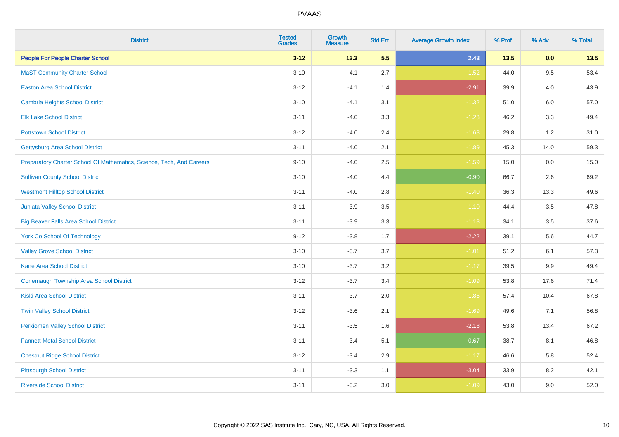| <b>District</b>                                                       | <b>Tested</b><br><b>Grades</b> | <b>Growth</b><br><b>Measure</b> | <b>Std Err</b> | <b>Average Growth Index</b> | % Prof | % Adv   | % Total |
|-----------------------------------------------------------------------|--------------------------------|---------------------------------|----------------|-----------------------------|--------|---------|---------|
| <b>People For People Charter School</b>                               | $3 - 12$                       | 13.3                            | 5.5            | 2.43                        | 13.5   | 0.0     | 13.5    |
| <b>MaST Community Charter School</b>                                  | $3 - 10$                       | $-4.1$                          | 2.7            | $-1.52$                     | 44.0   | 9.5     | 53.4    |
| <b>Easton Area School District</b>                                    | $3 - 12$                       | $-4.1$                          | 1.4            | $-2.91$                     | 39.9   | 4.0     | 43.9    |
| <b>Cambria Heights School District</b>                                | $3 - 10$                       | $-4.1$                          | 3.1            | $-1.32$                     | 51.0   | $6.0\,$ | 57.0    |
| <b>Elk Lake School District</b>                                       | $3 - 11$                       | $-4.0$                          | 3.3            | $-1.23$                     | 46.2   | 3.3     | 49.4    |
| <b>Pottstown School District</b>                                      | $3 - 12$                       | $-4.0$                          | 2.4            | $-1.68$                     | 29.8   | 1.2     | 31.0    |
| <b>Gettysburg Area School District</b>                                | $3 - 11$                       | $-4.0$                          | 2.1            | $-1.89$                     | 45.3   | 14.0    | 59.3    |
| Preparatory Charter School Of Mathematics, Science, Tech, And Careers | $9 - 10$                       | $-4.0$                          | 2.5            | $-1.59$                     | 15.0   | 0.0     | 15.0    |
| <b>Sullivan County School District</b>                                | $3 - 10$                       | $-4.0$                          | 4.4            | $-0.90$                     | 66.7   | 2.6     | 69.2    |
| <b>Westmont Hilltop School District</b>                               | $3 - 11$                       | $-4.0$                          | 2.8            | $-1.40$                     | 36.3   | 13.3    | 49.6    |
| <b>Juniata Valley School District</b>                                 | $3 - 11$                       | $-3.9$                          | 3.5            | $-1.10$                     | 44.4   | 3.5     | 47.8    |
| <b>Big Beaver Falls Area School District</b>                          | $3 - 11$                       | $-3.9$                          | 3.3            | $-1.18$                     | 34.1   | 3.5     | 37.6    |
| <b>York Co School Of Technology</b>                                   | $9 - 12$                       | $-3.8$                          | 1.7            | $-2.22$                     | 39.1   | 5.6     | 44.7    |
| <b>Valley Grove School District</b>                                   | $3 - 10$                       | $-3.7$                          | 3.7            | $-1.01$                     | 51.2   | 6.1     | 57.3    |
| <b>Kane Area School District</b>                                      | $3 - 10$                       | $-3.7$                          | 3.2            | $-1.17$                     | 39.5   | 9.9     | 49.4    |
| <b>Conemaugh Township Area School District</b>                        | $3 - 12$                       | $-3.7$                          | 3.4            | $-1.09$                     | 53.8   | 17.6    | 71.4    |
| <b>Kiski Area School District</b>                                     | $3 - 11$                       | $-3.7$                          | 2.0            | $-1.86$                     | 57.4   | 10.4    | 67.8    |
| <b>Twin Valley School District</b>                                    | $3 - 12$                       | $-3.6$                          | 2.1            | $-1.69$                     | 49.6   | 7.1     | 56.8    |
| <b>Perkiomen Valley School District</b>                               | $3 - 11$                       | $-3.5$                          | 1.6            | $-2.18$                     | 53.8   | 13.4    | 67.2    |
| <b>Fannett-Metal School District</b>                                  | $3 - 11$                       | $-3.4$                          | 5.1            | $-0.67$                     | 38.7   | 8.1     | 46.8    |
| <b>Chestnut Ridge School District</b>                                 | $3 - 12$                       | $-3.4$                          | 2.9            | $-1.17$                     | 46.6   | 5.8     | 52.4    |
| <b>Pittsburgh School District</b>                                     | $3 - 11$                       | $-3.3$                          | 1.1            | $-3.04$                     | 33.9   | 8.2     | 42.1    |
| <b>Riverside School District</b>                                      | $3 - 11$                       | $-3.2$                          | 3.0            | $-1.09$                     | 43.0   | 9.0     | 52.0    |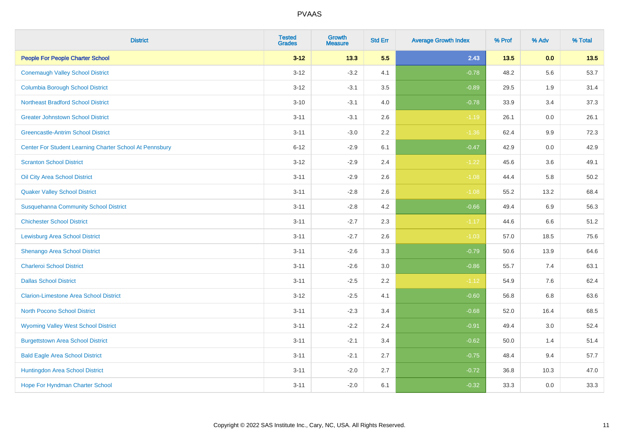| <b>District</b>                                         | <b>Tested</b><br><b>Grades</b> | <b>Growth</b><br><b>Measure</b> | <b>Std Err</b> | <b>Average Growth Index</b> | % Prof | % Adv   | % Total |
|---------------------------------------------------------|--------------------------------|---------------------------------|----------------|-----------------------------|--------|---------|---------|
| <b>People For People Charter School</b>                 | $3 - 12$                       | 13.3                            | 5.5            | 2.43                        | 13.5   | 0.0     | 13.5    |
| <b>Conemaugh Valley School District</b>                 | $3 - 12$                       | $-3.2$                          | 4.1            | $-0.78$                     | 48.2   | 5.6     | 53.7    |
| <b>Columbia Borough School District</b>                 | $3 - 12$                       | $-3.1$                          | 3.5            | $-0.89$                     | 29.5   | 1.9     | 31.4    |
| <b>Northeast Bradford School District</b>               | $3 - 10$                       | $-3.1$                          | 4.0            | $-0.78$                     | 33.9   | 3.4     | 37.3    |
| <b>Greater Johnstown School District</b>                | $3 - 11$                       | $-3.1$                          | 2.6            | $-1.19$                     | 26.1   | 0.0     | 26.1    |
| <b>Greencastle-Antrim School District</b>               | $3 - 11$                       | $-3.0$                          | 2.2            | $-1.36$                     | 62.4   | 9.9     | 72.3    |
| Center For Student Learning Charter School At Pennsbury | $6 - 12$                       | $-2.9$                          | 6.1            | $-0.47$                     | 42.9   | 0.0     | 42.9    |
| <b>Scranton School District</b>                         | $3 - 12$                       | $-2.9$                          | 2.4            | $-1.22$                     | 45.6   | 3.6     | 49.1    |
| Oil City Area School District                           | $3 - 11$                       | $-2.9$                          | 2.6            | $-1.08$                     | 44.4   | 5.8     | 50.2    |
| <b>Quaker Valley School District</b>                    | $3 - 11$                       | $-2.8$                          | 2.6            | $-1.08$                     | 55.2   | 13.2    | 68.4    |
| <b>Susquehanna Community School District</b>            | $3 - 11$                       | $-2.8$                          | 4.2            | $-0.66$                     | 49.4   | 6.9     | 56.3    |
| <b>Chichester School District</b>                       | $3 - 11$                       | $-2.7$                          | 2.3            | $-1.17$                     | 44.6   | 6.6     | 51.2    |
| <b>Lewisburg Area School District</b>                   | $3 - 11$                       | $-2.7$                          | 2.6            | $-1.03$                     | 57.0   | 18.5    | 75.6    |
| Shenango Area School District                           | $3 - 11$                       | $-2.6$                          | 3.3            | $-0.79$                     | 50.6   | 13.9    | 64.6    |
| <b>Charleroi School District</b>                        | $3 - 11$                       | $-2.6$                          | 3.0            | $-0.86$                     | 55.7   | 7.4     | 63.1    |
| <b>Dallas School District</b>                           | $3 - 11$                       | $-2.5$                          | 2.2            | $-1.12$                     | 54.9   | $7.6\,$ | 62.4    |
| <b>Clarion-Limestone Area School District</b>           | $3 - 12$                       | $-2.5$                          | 4.1            | $-0.60$                     | 56.8   | 6.8     | 63.6    |
| North Pocono School District                            | $3 - 11$                       | $-2.3$                          | 3.4            | $-0.68$                     | 52.0   | 16.4    | 68.5    |
| <b>Wyoming Valley West School District</b>              | $3 - 11$                       | $-2.2$                          | 2.4            | $-0.91$                     | 49.4   | 3.0     | 52.4    |
| <b>Burgettstown Area School District</b>                | $3 - 11$                       | $-2.1$                          | 3.4            | $-0.62$                     | 50.0   | 1.4     | 51.4    |
| <b>Bald Eagle Area School District</b>                  | $3 - 11$                       | $-2.1$                          | 2.7            | $-0.75$                     | 48.4   | 9.4     | 57.7    |
| Huntingdon Area School District                         | $3 - 11$                       | $-2.0$                          | 2.7            | $-0.72$                     | 36.8   | 10.3    | 47.0    |
| <b>Hope For Hyndman Charter School</b>                  | $3 - 11$                       | $-2.0$                          | 6.1            | $-0.32$                     | 33.3   | 0.0     | 33.3    |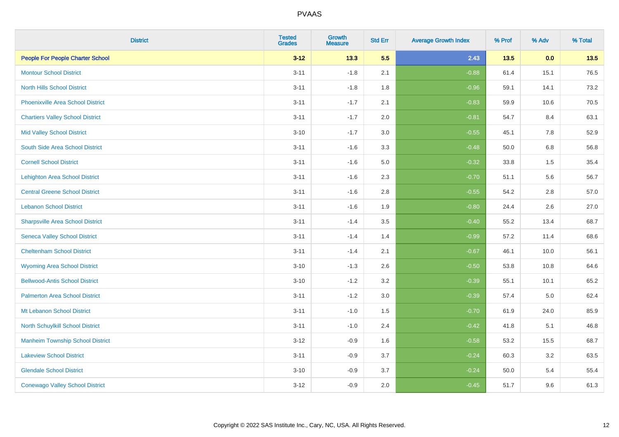| <b>District</b>                          | <b>Tested</b><br><b>Grades</b> | <b>Growth</b><br><b>Measure</b> | <b>Std Err</b> | <b>Average Growth Index</b> | % Prof | % Adv   | % Total |
|------------------------------------------|--------------------------------|---------------------------------|----------------|-----------------------------|--------|---------|---------|
| <b>People For People Charter School</b>  | $3 - 12$                       | 13.3                            | 5.5            | 2.43                        | $13.5$ | 0.0     | 13.5    |
| <b>Montour School District</b>           | $3 - 11$                       | $-1.8$                          | 2.1            | $-0.88$                     | 61.4   | 15.1    | 76.5    |
| <b>North Hills School District</b>       | $3 - 11$                       | $-1.8$                          | 1.8            | $-0.96$                     | 59.1   | 14.1    | 73.2    |
| <b>Phoenixville Area School District</b> | $3 - 11$                       | $-1.7$                          | 2.1            | $-0.83$                     | 59.9   | 10.6    | 70.5    |
| <b>Chartiers Valley School District</b>  | $3 - 11$                       | $-1.7$                          | 2.0            | $-0.81$                     | 54.7   | 8.4     | 63.1    |
| <b>Mid Valley School District</b>        | $3 - 10$                       | $-1.7$                          | 3.0            | $-0.55$                     | 45.1   | 7.8     | 52.9    |
| South Side Area School District          | $3 - 11$                       | $-1.6$                          | 3.3            | $-0.48$                     | 50.0   | $6.8\,$ | 56.8    |
| <b>Cornell School District</b>           | $3 - 11$                       | $-1.6$                          | 5.0            | $-0.32$                     | 33.8   | 1.5     | 35.4    |
| <b>Lehighton Area School District</b>    | $3 - 11$                       | $-1.6$                          | 2.3            | $-0.70$                     | 51.1   | 5.6     | 56.7    |
| <b>Central Greene School District</b>    | $3 - 11$                       | $-1.6$                          | 2.8            | $-0.55$                     | 54.2   | 2.8     | 57.0    |
| <b>Lebanon School District</b>           | $3 - 11$                       | $-1.6$                          | 1.9            | $-0.80$                     | 24.4   | 2.6     | 27.0    |
| <b>Sharpsville Area School District</b>  | $3 - 11$                       | $-1.4$                          | 3.5            | $-0.40$                     | 55.2   | 13.4    | 68.7    |
| <b>Seneca Valley School District</b>     | $3 - 11$                       | $-1.4$                          | 1.4            | $-0.99$                     | 57.2   | 11.4    | 68.6    |
| <b>Cheltenham School District</b>        | $3 - 11$                       | $-1.4$                          | 2.1            | $-0.67$                     | 46.1   | 10.0    | 56.1    |
| <b>Wyoming Area School District</b>      | $3 - 10$                       | $-1.3$                          | 2.6            | $-0.50$                     | 53.8   | 10.8    | 64.6    |
| <b>Bellwood-Antis School District</b>    | $3 - 10$                       | $-1.2$                          | 3.2            | $-0.39$                     | 55.1   | 10.1    | 65.2    |
| <b>Palmerton Area School District</b>    | $3 - 11$                       | $-1.2$                          | 3.0            | $-0.39$                     | 57.4   | 5.0     | 62.4    |
| Mt Lebanon School District               | $3 - 11$                       | $-1.0$                          | 1.5            | $-0.70$                     | 61.9   | 24.0    | 85.9    |
| <b>North Schuylkill School District</b>  | $3 - 11$                       | $-1.0$                          | 2.4            | $-0.42$                     | 41.8   | 5.1     | 46.8    |
| <b>Manheim Township School District</b>  | $3 - 12$                       | $-0.9$                          | 1.6            | $-0.58$                     | 53.2   | 15.5    | 68.7    |
| <b>Lakeview School District</b>          | $3 - 11$                       | $-0.9$                          | 3.7            | $-0.24$                     | 60.3   | 3.2     | 63.5    |
| <b>Glendale School District</b>          | $3 - 10$                       | $-0.9$                          | 3.7            | $-0.24$                     | 50.0   | 5.4     | 55.4    |
| <b>Conewago Valley School District</b>   | $3-12$                         | $-0.9$                          | 2.0            | $-0.45$                     | 51.7   | 9.6     | 61.3    |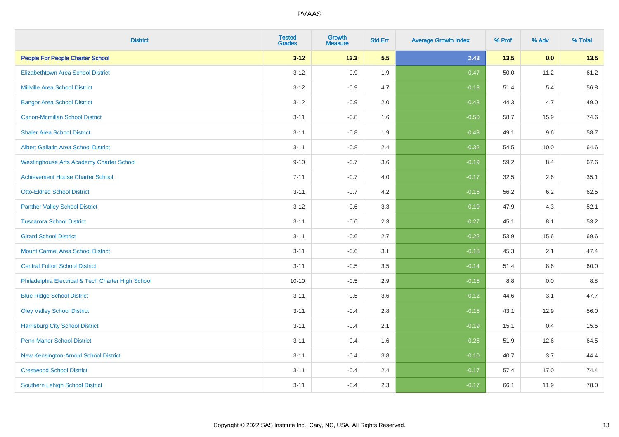| <b>District</b>                                    | <b>Tested</b><br><b>Grades</b> | Growth<br><b>Measure</b> | <b>Std Err</b> | <b>Average Growth Index</b> | % Prof | % Adv | % Total |
|----------------------------------------------------|--------------------------------|--------------------------|----------------|-----------------------------|--------|-------|---------|
| <b>People For People Charter School</b>            | $3 - 12$                       | 13.3                     | 5.5            | 2.43                        | 13.5   | 0.0   | 13.5    |
| <b>Elizabethtown Area School District</b>          | $3 - 12$                       | $-0.9$                   | 1.9            | $-0.47$                     | 50.0   | 11.2  | 61.2    |
| <b>Millville Area School District</b>              | $3 - 12$                       | $-0.9$                   | 4.7            | $-0.18$                     | 51.4   | 5.4   | 56.8    |
| <b>Bangor Area School District</b>                 | $3 - 12$                       | $-0.9$                   | 2.0            | $-0.43$                     | 44.3   | 4.7   | 49.0    |
| Canon-Mcmillan School District                     | $3 - 11$                       | $-0.8$                   | 1.6            | $-0.50$                     | 58.7   | 15.9  | 74.6    |
| <b>Shaler Area School District</b>                 | $3 - 11$                       | $-0.8$                   | 1.9            | $-0.43$                     | 49.1   | 9.6   | 58.7    |
| <b>Albert Gallatin Area School District</b>        | $3 - 11$                       | $-0.8$                   | 2.4            | $-0.32$                     | 54.5   | 10.0  | 64.6    |
| <b>Westinghouse Arts Academy Charter School</b>    | $9 - 10$                       | $-0.7$                   | 3.6            | $-0.19$                     | 59.2   | 8.4   | 67.6    |
| <b>Achievement House Charter School</b>            | $7 - 11$                       | $-0.7$                   | 4.0            | $-0.17$                     | 32.5   | 2.6   | 35.1    |
| <b>Otto-Eldred School District</b>                 | $3 - 11$                       | $-0.7$                   | 4.2            | $-0.15$                     | 56.2   | 6.2   | 62.5    |
| <b>Panther Valley School District</b>              | $3 - 12$                       | $-0.6$                   | 3.3            | $-0.19$                     | 47.9   | 4.3   | 52.1    |
| <b>Tuscarora School District</b>                   | $3 - 11$                       | $-0.6$                   | 2.3            | $-0.27$                     | 45.1   | 8.1   | 53.2    |
| <b>Girard School District</b>                      | $3 - 11$                       | $-0.6$                   | 2.7            | $-0.22$                     | 53.9   | 15.6  | 69.6    |
| <b>Mount Carmel Area School District</b>           | $3 - 11$                       | $-0.6$                   | 3.1            | $-0.18$                     | 45.3   | 2.1   | 47.4    |
| <b>Central Fulton School District</b>              | $3 - 11$                       | $-0.5$                   | 3.5            | $-0.14$                     | 51.4   | 8.6   | 60.0    |
| Philadelphia Electrical & Tech Charter High School | $10 - 10$                      | $-0.5$                   | 2.9            | $-0.15$                     | 8.8    | 0.0   | 8.8     |
| <b>Blue Ridge School District</b>                  | $3 - 11$                       | $-0.5$                   | 3.6            | $-0.12$                     | 44.6   | 3.1   | 47.7    |
| <b>Oley Valley School District</b>                 | $3 - 11$                       | $-0.4$                   | 2.8            | $-0.15$                     | 43.1   | 12.9  | 56.0    |
| <b>Harrisburg City School District</b>             | $3 - 11$                       | $-0.4$                   | 2.1            | $-0.19$                     | 15.1   | 0.4   | 15.5    |
| <b>Penn Manor School District</b>                  | $3 - 11$                       | $-0.4$                   | 1.6            | $-0.25$                     | 51.9   | 12.6  | 64.5    |
| New Kensington-Arnold School District              | $3 - 11$                       | $-0.4$                   | 3.8            | $-0.10$                     | 40.7   | 3.7   | 44.4    |
| <b>Crestwood School District</b>                   | $3 - 11$                       | $-0.4$                   | 2.4            | $-0.17$                     | 57.4   | 17.0  | 74.4    |
| <b>Southern Lehigh School District</b>             | $3 - 11$                       | $-0.4$                   | 2.3            | $-0.17$                     | 66.1   | 11.9  | 78.0    |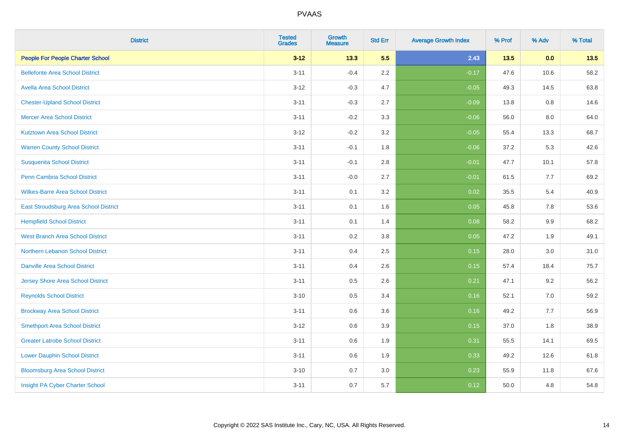| <b>District</b>                          | <b>Tested</b><br><b>Grades</b> | <b>Growth</b><br><b>Measure</b> | <b>Std Err</b> | <b>Average Growth Index</b> | % Prof | % Adv | % Total |
|------------------------------------------|--------------------------------|---------------------------------|----------------|-----------------------------|--------|-------|---------|
| <b>People For People Charter School</b>  | $3 - 12$                       | 13.3                            | 5.5            | 2.43                        | 13.5   | 0.0   | 13.5    |
| <b>Bellefonte Area School District</b>   | $3 - 11$                       | $-0.4$                          | $2.2\,$        | $-0.17$                     | 47.6   | 10.6  | 58.2    |
| <b>Avella Area School District</b>       | $3 - 12$                       | $-0.3$                          | 4.7            | $-0.05$                     | 49.3   | 14.5  | 63.8    |
| <b>Chester-Upland School District</b>    | $3 - 11$                       | $-0.3$                          | 2.7            | $-0.09$                     | 13.8   | 0.8   | 14.6    |
| <b>Mercer Area School District</b>       | $3 - 11$                       | $-0.2$                          | 3.3            | $-0.06$                     | 56.0   | 8.0   | 64.0    |
| <b>Kutztown Area School District</b>     | $3 - 12$                       | $-0.2$                          | 3.2            | $-0.05$                     | 55.4   | 13.3  | 68.7    |
| <b>Warren County School District</b>     | $3 - 11$                       | $-0.1$                          | 1.8            | $-0.06$                     | 37.2   | 5.3   | 42.6    |
| <b>Susquenita School District</b>        | $3 - 11$                       | $-0.1$                          | 2.8            | $-0.01$                     | 47.7   | 10.1  | 57.8    |
| Penn Cambria School District             | $3 - 11$                       | $-0.0$                          | 2.7            | $-0.01$                     | 61.5   | 7.7   | 69.2    |
| <b>Wilkes-Barre Area School District</b> | $3 - 11$                       | 0.1                             | 3.2            | 0.02                        | 35.5   | 5.4   | 40.9    |
| East Stroudsburg Area School District    | $3 - 11$                       | 0.1                             | 1.6            | 0.05                        | 45.8   | 7.8   | 53.6    |
| <b>Hempfield School District</b>         | $3 - 11$                       | 0.1                             | 1.4            | 0.08                        | 58.2   | 9.9   | 68.2    |
| <b>West Branch Area School District</b>  | $3 - 11$                       | 0.2                             | $3.8\,$        | 0.05                        | 47.2   | 1.9   | 49.1    |
| Northern Lebanon School District         | $3 - 11$                       | 0.4                             | 2.5            | 0.15                        | 28.0   | 3.0   | 31.0    |
| <b>Danville Area School District</b>     | $3 - 11$                       | 0.4                             | 2.6            | 0.15                        | 57.4   | 18.4  | 75.7    |
| <b>Jersey Shore Area School District</b> | $3 - 11$                       | 0.5                             | 2.6            | 0.21                        | 47.1   | 9.2   | 56.2    |
| <b>Reynolds School District</b>          | $3 - 10$                       | 0.5                             | 3.4            | 0.16                        | 52.1   | 7.0   | 59.2    |
| <b>Brockway Area School District</b>     | $3 - 11$                       | 0.6                             | 3.6            | 0.16                        | 49.2   | 7.7   | 56.9    |
| <b>Smethport Area School District</b>    | $3 - 12$                       | 0.6                             | 3.9            | 0.15                        | 37.0   | 1.8   | 38.9    |
| <b>Greater Latrobe School District</b>   | $3 - 11$                       | 0.6                             | 1.9            | 0.31                        | 55.5   | 14.1  | 69.5    |
| <b>Lower Dauphin School District</b>     | $3 - 11$                       | 0.6                             | 1.9            | 0.33                        | 49.2   | 12.6  | 61.8    |
| <b>Bloomsburg Area School District</b>   | $3 - 10$                       | 0.7                             | 3.0            | 0.23                        | 55.9   | 11.8  | 67.6    |
| Insight PA Cyber Charter School          | $3 - 11$                       | 0.7                             | 5.7            | 0.12                        | 50.0   | 4.8   | 54.8    |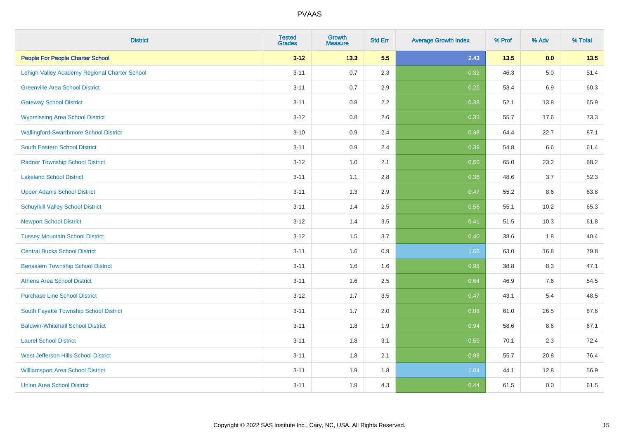| <b>District</b>                               | <b>Tested</b><br><b>Grades</b> | <b>Growth</b><br><b>Measure</b> | <b>Std Err</b> | <b>Average Growth Index</b> | % Prof | % Adv   | % Total |
|-----------------------------------------------|--------------------------------|---------------------------------|----------------|-----------------------------|--------|---------|---------|
| <b>People For People Charter School</b>       | $3 - 12$                       | 13.3                            | 5.5            | 2.43                        | 13.5   | 0.0     | 13.5    |
| Lehigh Valley Academy Regional Charter School | $3 - 11$                       | 0.7                             | 2.3            | 0.32                        | 46.3   | $5.0\,$ | 51.4    |
| <b>Greenville Area School District</b>        | $3 - 11$                       | 0.7                             | 2.9            | 0.26                        | 53.4   | 6.9     | 60.3    |
| <b>Gateway School District</b>                | $3 - 11$                       | 0.8                             | 2.2            | 0.38                        | 52.1   | 13.8    | 65.9    |
| <b>Wyomissing Area School District</b>        | $3 - 12$                       | 0.8                             | 2.6            | 0.33                        | 55.7   | 17.6    | 73.3    |
| <b>Wallingford-Swarthmore School District</b> | $3 - 10$                       | 0.9                             | 2.4            | 0.38                        | 64.4   | 22.7    | 87.1    |
| South Eastern School District                 | $3 - 11$                       | 0.9                             | 2.4            | 0.39                        | 54.8   | 6.6     | 61.4    |
| <b>Radnor Township School District</b>        | $3 - 12$                       | 1.0                             | 2.1            | 0.50                        | 65.0   | 23.2    | 88.2    |
| <b>Lakeland School District</b>               | $3 - 11$                       | 1.1                             | 2.8            | 0.38                        | 48.6   | 3.7     | 52.3    |
| <b>Upper Adams School District</b>            | $3 - 11$                       | 1.3                             | 2.9            | 0.47                        | 55.2   | 8.6     | 63.8    |
| <b>Schuylkill Valley School District</b>      | $3 - 11$                       | 1.4                             | 2.5            | 0.56                        | 55.1   | 10.2    | 65.3    |
| <b>Newport School District</b>                | $3 - 12$                       | 1.4                             | 3.5            | 0.41                        | 51.5   | 10.3    | 61.8    |
| <b>Tussey Mountain School District</b>        | $3 - 12$                       | 1.5                             | 3.7            | 0.40                        | 38.6   | 1.8     | 40.4    |
| <b>Central Bucks School District</b>          | $3 - 11$                       | 1.6                             | 0.9            | 1.66                        | 63.0   | 16.8    | 79.8    |
| <b>Bensalem Township School District</b>      | $3 - 11$                       | 1.6                             | 1.6            | 0.98                        | 38.8   | 8.3     | 47.1    |
| <b>Athens Area School District</b>            | $3 - 11$                       | 1.6                             | 2.5            | 0.64                        | 46.9   | $7.6\,$ | 54.5    |
| <b>Purchase Line School District</b>          | $3 - 12$                       | 1.7                             | 3.5            | 0.47                        | 43.1   | 5.4     | 48.5    |
| South Fayette Township School District        | $3 - 11$                       | 1.7                             | 2.0            | 0.88                        | 61.0   | 26.5    | 87.6    |
| <b>Baldwin-Whitehall School District</b>      | $3 - 11$                       | 1.8                             | 1.9            | 0.94                        | 58.6   | 8.6     | 67.1    |
| <b>Laurel School District</b>                 | $3 - 11$                       | 1.8                             | 3.1            | 0.59                        | 70.1   | 2.3     | 72.4    |
| <b>West Jefferson Hills School District</b>   | $3 - 11$                       | 1.8                             | 2.1            | 0.88                        | 55.7   | 20.8    | 76.4    |
| <b>Williamsport Area School District</b>      | $3 - 11$                       | 1.9                             | 1.8            | 1.04                        | 44.1   | 12.8    | 56.9    |
| <b>Union Area School District</b>             | $3 - 11$                       | 1.9                             | 4.3            | 0.44                        | 61.5   | 0.0     | 61.5    |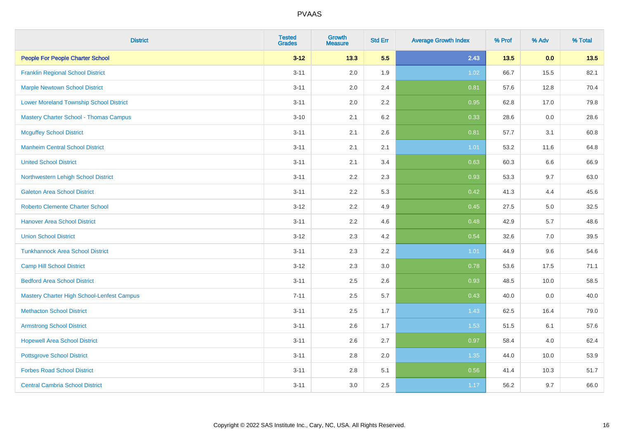| <b>District</b>                                | <b>Tested</b><br><b>Grades</b> | <b>Growth</b><br><b>Measure</b> | <b>Std Err</b> | <b>Average Growth Index</b> | % Prof | % Adv | % Total |
|------------------------------------------------|--------------------------------|---------------------------------|----------------|-----------------------------|--------|-------|---------|
| <b>People For People Charter School</b>        | $3 - 12$                       | 13.3                            | 5.5            | 2.43                        | 13.5   | 0.0   | 13.5    |
| <b>Franklin Regional School District</b>       | $3 - 11$                       | 2.0                             | 1.9            | 1.02                        | 66.7   | 15.5  | 82.1    |
| <b>Marple Newtown School District</b>          | $3 - 11$                       | 2.0                             | 2.4            | 0.81                        | 57.6   | 12.8  | 70.4    |
| <b>Lower Moreland Township School District</b> | $3 - 11$                       | 2.0                             | 2.2            | 0.95                        | 62.8   | 17.0  | 79.8    |
| <b>Mastery Charter School - Thomas Campus</b>  | $3 - 10$                       | 2.1                             | 6.2            | 0.33                        | 28.6   | 0.0   | 28.6    |
| <b>Mcguffey School District</b>                | $3 - 11$                       | 2.1                             | 2.6            | 0.81                        | 57.7   | 3.1   | 60.8    |
| <b>Manheim Central School District</b>         | $3 - 11$                       | 2.1                             | 2.1            | 1.01                        | 53.2   | 11.6  | 64.8    |
| <b>United School District</b>                  | $3 - 11$                       | 2.1                             | 3.4            | 0.63                        | 60.3   | 6.6   | 66.9    |
| Northwestern Lehigh School District            | $3 - 11$                       | 2.2                             | 2.3            | 0.93                        | 53.3   | 9.7   | 63.0    |
| <b>Galeton Area School District</b>            | $3 - 11$                       | 2.2                             | 5.3            | 0.42                        | 41.3   | 4.4   | 45.6    |
| <b>Roberto Clemente Charter School</b>         | $3 - 12$                       | 2.2                             | 4.9            | 0.45                        | 27.5   | 5.0   | 32.5    |
| <b>Hanover Area School District</b>            | $3 - 11$                       | 2.2                             | 4.6            | 0.48                        | 42.9   | 5.7   | 48.6    |
| <b>Union School District</b>                   | $3 - 12$                       | 2.3                             | 4.2            | 0.54                        | 32.6   | 7.0   | 39.5    |
| <b>Tunkhannock Area School District</b>        | $3 - 11$                       | 2.3                             | 2.2            | 1.01                        | 44.9   | 9.6   | 54.6    |
| <b>Camp Hill School District</b>               | $3 - 12$                       | 2.3                             | 3.0            | 0.78                        | 53.6   | 17.5  | 71.1    |
| <b>Bedford Area School District</b>            | $3 - 11$                       | 2.5                             | 2.6            | 0.93                        | 48.5   | 10.0  | 58.5    |
| Mastery Charter High School-Lenfest Campus     | $7 - 11$                       | 2.5                             | 5.7            | 0.43                        | 40.0   | 0.0   | 40.0    |
| <b>Methacton School District</b>               | $3 - 11$                       | 2.5                             | 1.7            | 1.43                        | 62.5   | 16.4  | 79.0    |
| <b>Armstrong School District</b>               | $3 - 11$                       | 2.6                             | 1.7            | 1.53                        | 51.5   | 6.1   | 57.6    |
| <b>Hopewell Area School District</b>           | $3 - 11$                       | 2.6                             | 2.7            | 0.97                        | 58.4   | 4.0   | 62.4    |
| <b>Pottsgrove School District</b>              | $3 - 11$                       | 2.8                             | 2.0            | 1.35                        | 44.0   | 10.0  | 53.9    |
| <b>Forbes Road School District</b>             | $3 - 11$                       | $2.8\,$                         | 5.1            | 0.56                        | 41.4   | 10.3  | 51.7    |
| <b>Central Cambria School District</b>         | $3 - 11$                       | 3.0                             | 2.5            | 1.17                        | 56.2   | 9.7   | 66.0    |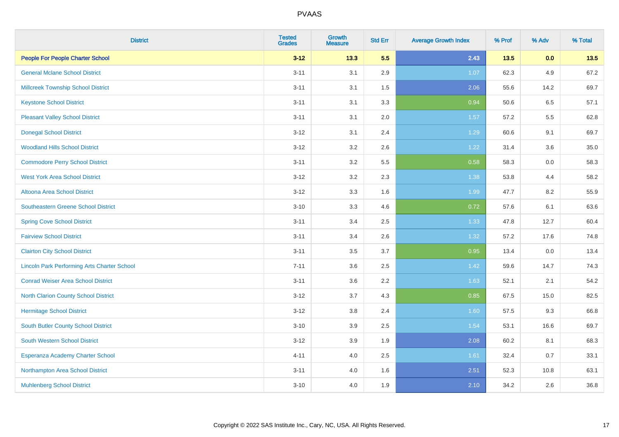| <b>District</b>                                    | <b>Tested</b><br><b>Grades</b> | Growth<br><b>Measure</b> | <b>Std Err</b> | <b>Average Growth Index</b> | % Prof | % Adv | % Total |
|----------------------------------------------------|--------------------------------|--------------------------|----------------|-----------------------------|--------|-------|---------|
| <b>People For People Charter School</b>            | $3 - 12$                       | 13.3                     | 5.5            | 2.43                        | $13.5$ | 0.0   | 13.5    |
| <b>General Mclane School District</b>              | $3 - 11$                       | 3.1                      | 2.9            | 1.07                        | 62.3   | 4.9   | 67.2    |
| <b>Millcreek Township School District</b>          | $3 - 11$                       | 3.1                      | 1.5            | 2.06                        | 55.6   | 14.2  | 69.7    |
| <b>Keystone School District</b>                    | $3 - 11$                       | 3.1                      | 3.3            | 0.94                        | 50.6   | 6.5   | 57.1    |
| <b>Pleasant Valley School District</b>             | $3 - 11$                       | 3.1                      | 2.0            | 1.57                        | 57.2   | 5.5   | 62.8    |
| <b>Donegal School District</b>                     | $3 - 12$                       | 3.1                      | 2.4            | 1.29                        | 60.6   | 9.1   | 69.7    |
| <b>Woodland Hills School District</b>              | $3-12$                         | 3.2                      | 2.6            | 1.22                        | 31.4   | 3.6   | 35.0    |
| <b>Commodore Perry School District</b>             | $3 - 11$                       | 3.2                      | 5.5            | 0.58                        | 58.3   | 0.0   | 58.3    |
| <b>West York Area School District</b>              | $3 - 12$                       | 3.2                      | 2.3            | 1.38                        | 53.8   | 4.4   | 58.2    |
| <b>Altoona Area School District</b>                | $3 - 12$                       | 3.3                      | 1.6            | 1.99                        | 47.7   | 8.2   | 55.9    |
| <b>Southeastern Greene School District</b>         | $3 - 10$                       | 3.3                      | 4.6            | 0.72                        | 57.6   | 6.1   | 63.6    |
| <b>Spring Cove School District</b>                 | $3 - 11$                       | 3.4                      | 2.5            | 1.33                        | 47.8   | 12.7  | 60.4    |
| <b>Fairview School District</b>                    | $3 - 11$                       | 3.4                      | 2.6            | 1.32                        | 57.2   | 17.6  | 74.8    |
| <b>Clairton City School District</b>               | $3 - 11$                       | 3.5                      | 3.7            | 0.95                        | 13.4   | 0.0   | 13.4    |
| <b>Lincoln Park Performing Arts Charter School</b> | $7 - 11$                       | 3.6                      | 2.5            | 1.42                        | 59.6   | 14.7  | 74.3    |
| <b>Conrad Weiser Area School District</b>          | $3 - 11$                       | 3.6                      | 2.2            | 1.63                        | 52.1   | 2.1   | 54.2    |
| <b>North Clarion County School District</b>        | $3 - 12$                       | 3.7                      | 4.3            | 0.85                        | 67.5   | 15.0  | 82.5    |
| <b>Hermitage School District</b>                   | $3 - 12$                       | 3.8                      | 2.4            | 1.60                        | 57.5   | 9.3   | 66.8    |
| South Butler County School District                | $3 - 10$                       | 3.9                      | 2.5            | 1.54                        | 53.1   | 16.6  | 69.7    |
| South Western School District                      | $3 - 12$                       | 3.9                      | 1.9            | 2.08                        | 60.2   | 8.1   | 68.3    |
| Esperanza Academy Charter School                   | $4 - 11$                       | 4.0                      | 2.5            | 1.61                        | 32.4   | 0.7   | 33.1    |
| Northampton Area School District                   | $3 - 11$                       | 4.0                      | 1.6            | 2.51                        | 52.3   | 10.8  | 63.1    |
| <b>Muhlenberg School District</b>                  | $3 - 10$                       | 4.0                      | 1.9            | 2.10                        | 34.2   | 2.6   | 36.8    |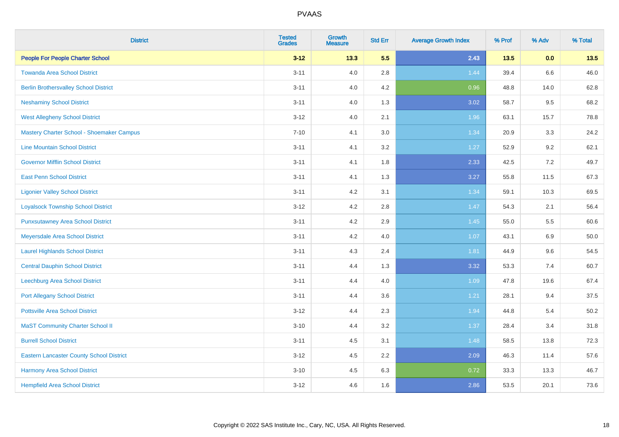| <b>District</b>                                 | <b>Tested</b><br><b>Grades</b> | <b>Growth</b><br><b>Measure</b> | <b>Std Err</b> | <b>Average Growth Index</b> | % Prof | % Adv   | % Total  |
|-------------------------------------------------|--------------------------------|---------------------------------|----------------|-----------------------------|--------|---------|----------|
| <b>People For People Charter School</b>         | $3 - 12$                       | 13.3                            | 5.5            | 2.43                        | $13.5$ | 0.0     | 13.5     |
| <b>Towanda Area School District</b>             | $3 - 11$                       | 4.0                             | 2.8            | 1.44                        | 39.4   | $6.6\,$ | 46.0     |
| <b>Berlin Brothersvalley School District</b>    | $3 - 11$                       | 4.0                             | 4.2            | 0.96                        | 48.8   | 14.0    | 62.8     |
| <b>Neshaminy School District</b>                | $3 - 11$                       | 4.0                             | 1.3            | 3.02                        | 58.7   | 9.5     | 68.2     |
| <b>West Allegheny School District</b>           | $3 - 12$                       | 4.0                             | 2.1            | 1.96                        | 63.1   | 15.7    | 78.8     |
| Mastery Charter School - Shoemaker Campus       | $7 - 10$                       | 4.1                             | 3.0            | 1.34                        | 20.9   | 3.3     | 24.2     |
| <b>Line Mountain School District</b>            | $3 - 11$                       | 4.1                             | 3.2            | 1.27                        | 52.9   | 9.2     | 62.1     |
| <b>Governor Mifflin School District</b>         | $3 - 11$                       | 4.1                             | 1.8            | 2.33                        | 42.5   | 7.2     | 49.7     |
| <b>East Penn School District</b>                | $3 - 11$                       | 4.1                             | 1.3            | 3.27                        | 55.8   | 11.5    | 67.3     |
| <b>Ligonier Valley School District</b>          | $3 - 11$                       | 4.2                             | 3.1            | 1.34                        | 59.1   | 10.3    | 69.5     |
| <b>Loyalsock Township School District</b>       | $3 - 12$                       | 4.2                             | 2.8            | 1.47                        | 54.3   | 2.1     | 56.4     |
| <b>Punxsutawney Area School District</b>        | $3 - 11$                       | 4.2                             | 2.9            | 1.45                        | 55.0   | 5.5     | 60.6     |
| Meyersdale Area School District                 | $3 - 11$                       | 4.2                             | 4.0            | 1.07                        | 43.1   | 6.9     | 50.0     |
| <b>Laurel Highlands School District</b>         | $3 - 11$                       | 4.3                             | 2.4            | 1.81                        | 44.9   | 9.6     | 54.5     |
| <b>Central Dauphin School District</b>          | $3 - 11$                       | 4.4                             | 1.3            | 3.32                        | 53.3   | 7.4     | 60.7     |
| Leechburg Area School District                  | $3 - 11$                       | 4.4                             | 4.0            | 1.09                        | 47.8   | 19.6    | 67.4     |
| <b>Port Allegany School District</b>            | $3 - 11$                       | 4.4                             | 3.6            | 1.21                        | 28.1   | 9.4     | 37.5     |
| <b>Pottsville Area School District</b>          | $3 - 12$                       | 4.4                             | 2.3            | 1.94                        | 44.8   | 5.4     | $50.2\,$ |
| <b>MaST Community Charter School II</b>         | $3 - 10$                       | 4.4                             | 3.2            | 1.37                        | 28.4   | 3.4     | 31.8     |
| <b>Burrell School District</b>                  | $3 - 11$                       | 4.5                             | 3.1            | 1.48                        | 58.5   | 13.8    | 72.3     |
| <b>Eastern Lancaster County School District</b> | $3 - 12$                       | 4.5                             | 2.2            | 2.09                        | 46.3   | 11.4    | 57.6     |
| Harmony Area School District                    | $3 - 10$                       | 4.5                             | 6.3            | 0.72                        | 33.3   | 13.3    | 46.7     |
| <b>Hempfield Area School District</b>           | $3 - 12$                       | 4.6                             | 1.6            | 2.86                        | 53.5   | 20.1    | 73.6     |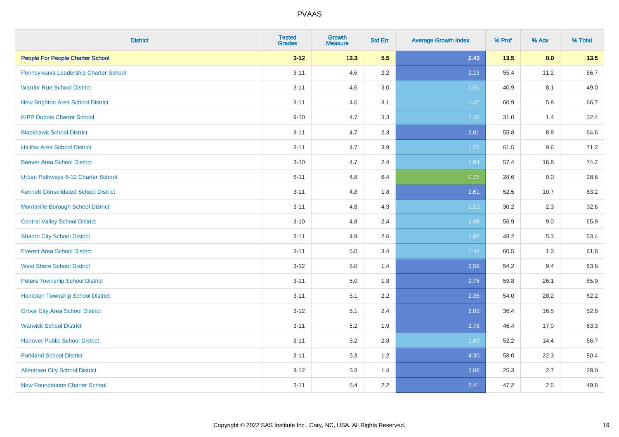| <b>District</b>                             | <b>Tested</b><br><b>Grades</b> | <b>Growth</b><br><b>Measure</b> | <b>Std Err</b> | <b>Average Growth Index</b> | % Prof | % Adv | % Total |
|---------------------------------------------|--------------------------------|---------------------------------|----------------|-----------------------------|--------|-------|---------|
| <b>People For People Charter School</b>     | $3 - 12$                       | 13.3                            | 5.5            | 2.43                        | 13.5   | 0.0   | 13.5    |
| Pennsylvania Leadership Charter School      | $3 - 11$                       | 4.6                             | 2.2            | 2.13                        | 55.4   | 11.2  | 66.7    |
| <b>Warrior Run School District</b>          | $3 - 11$                       | 4.6                             | 3.0            | 1.51                        | 40.9   | 8.1   | 49.0    |
| <b>New Brighton Area School District</b>    | $3 - 11$                       | 4.6                             | 3.1            | 1.47                        | 60.9   | 5.8   | 66.7    |
| <b>KIPP Dubois Charter School</b>           | $9 - 10$                       | 4.7                             | 3.3            | 1.40                        | 31.0   | 1.4   | 32.4    |
| <b>Blackhawk School District</b>            | $3 - 11$                       | 4.7                             | 2.3            | 2.01                        | 55.8   | 8.8   | 64.6    |
| <b>Halifax Area School District</b>         | $3 - 11$                       | 4.7                             | 3.9            | 1.22                        | 61.5   | 9.6   | 71.2    |
| <b>Beaver Area School District</b>          | $3 - 10$                       | 4.7                             | 2.4            | 1.94                        | 57.4   | 16.8  | 74.2    |
| Urban Pathways 6-12 Charter School          | $6 - 11$                       | 4.8                             | 6.4            | 0.75                        | 28.6   | 0.0   | 28.6    |
| <b>Kennett Consolidated School District</b> | $3 - 11$                       | 4.8                             | 1.8            | 2.61                        | 52.5   | 10.7  | 63.2    |
| Morrisville Borough School District         | $3 - 11$                       | 4.8                             | 4.3            | $1.10$                      | 30.2   | 2.3   | 32.6    |
| <b>Central Valley School District</b>       | $3 - 10$                       | 4.8                             | 2.4            | 1.98                        | 56.9   | 9.0   | 65.9    |
| <b>Sharon City School District</b>          | $3 - 11$                       | 4.9                             | 2.6            | 1.87                        | 48.2   | 5.3   | 53.4    |
| <b>Everett Area School District</b>         | $3 - 11$                       | $5.0\,$                         | 3.4            | 1.47                        | 60.5   | 1.3   | 61.8    |
| <b>West Shore School District</b>           | $3 - 12$                       | 5.0                             | 1.4            | 3.59                        | 54.2   | 9.4   | 63.6    |
| <b>Peters Township School District</b>      | $3 - 11$                       | 5.0                             | 1.8            | 2.76                        | 59.8   | 26.1  | 85.9    |
| <b>Hampton Township School District</b>     | $3 - 11$                       | 5.1                             | 2.2            | 2.35                        | 54.0   | 28.2  | 82.2    |
| <b>Grove City Area School District</b>      | $3 - 12$                       | 5.1                             | 2.4            | 2.09                        | 36.4   | 16.5  | 52.8    |
| <b>Warwick School District</b>              | $3 - 11$                       | 5.2                             | 1.9            | 2.76                        | 46.4   | 17.0  | 63.3    |
| <b>Hanover Public School District</b>       | $3 - 11$                       | 5.2                             | 2.8            | 1.83                        | 52.2   | 14.4  | 66.7    |
| <b>Parkland School District</b>             | $3 - 11$                       | 5.3                             | 1.2            | 4.30                        | 58.0   | 22.3  | 80.4    |
| <b>Allentown City School District</b>       | $3 - 12$                       | 5.3                             | 1.4            | 3.88                        | 25.3   | 2.7   | 28.0    |
| <b>New Foundations Charter School</b>       | $3 - 11$                       | 5.4                             | 2.2            | 2.41                        | 47.2   | 2.5   | 49.8    |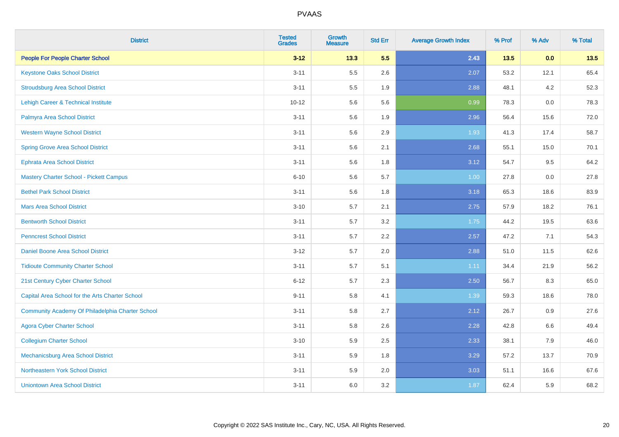| <b>District</b>                                  | <b>Tested</b><br><b>Grades</b> | <b>Growth</b><br><b>Measure</b> | <b>Std Err</b> | <b>Average Growth Index</b> | % Prof | % Adv | % Total |
|--------------------------------------------------|--------------------------------|---------------------------------|----------------|-----------------------------|--------|-------|---------|
| <b>People For People Charter School</b>          | $3 - 12$                       | 13.3                            | 5.5            | 2.43                        | 13.5   | 0.0   | 13.5    |
| <b>Keystone Oaks School District</b>             | $3 - 11$                       | 5.5                             | 2.6            | 2.07                        | 53.2   | 12.1  | 65.4    |
| <b>Stroudsburg Area School District</b>          | $3 - 11$                       | 5.5                             | 1.9            | 2.88                        | 48.1   | 4.2   | 52.3    |
| Lehigh Career & Technical Institute              | $10 - 12$                      | 5.6                             | 5.6            | 0.99                        | 78.3   | 0.0   | 78.3    |
| Palmyra Area School District                     | $3 - 11$                       | 5.6                             | 1.9            | 2.96                        | 56.4   | 15.6  | 72.0    |
| <b>Western Wayne School District</b>             | $3 - 11$                       | 5.6                             | 2.9            | 1.93                        | 41.3   | 17.4  | 58.7    |
| <b>Spring Grove Area School District</b>         | $3 - 11$                       | 5.6                             | 2.1            | 2.68                        | 55.1   | 15.0  | 70.1    |
| <b>Ephrata Area School District</b>              | $3 - 11$                       | 5.6                             | 1.8            | 3.12                        | 54.7   | 9.5   | 64.2    |
| <b>Mastery Charter School - Pickett Campus</b>   | $6 - 10$                       | 5.6                             | 5.7            | 1.00                        | 27.8   | 0.0   | 27.8    |
| <b>Bethel Park School District</b>               | $3 - 11$                       | 5.6                             | 1.8            | 3.18                        | 65.3   | 18.6  | 83.9    |
| <b>Mars Area School District</b>                 | $3 - 10$                       | 5.7                             | 2.1            | 2.75                        | 57.9   | 18.2  | 76.1    |
| <b>Bentworth School District</b>                 | $3 - 11$                       | 5.7                             | 3.2            | 1.75                        | 44.2   | 19.5  | 63.6    |
| <b>Penncrest School District</b>                 | $3 - 11$                       | 5.7                             | 2.2            | 2.57                        | 47.2   | 7.1   | 54.3    |
| Daniel Boone Area School District                | $3 - 12$                       | 5.7                             | 2.0            | 2.88                        | 51.0   | 11.5  | 62.6    |
| <b>Tidioute Community Charter School</b>         | $3 - 11$                       | 5.7                             | 5.1            | 1.11                        | 34.4   | 21.9  | 56.2    |
| 21st Century Cyber Charter School                | $6 - 12$                       | 5.7                             | 2.3            | 2.50                        | 56.7   | 8.3   | 65.0    |
| Capital Area School for the Arts Charter School  | $9 - 11$                       | 5.8                             | 4.1            | 1.39                        | 59.3   | 18.6  | 78.0    |
| Community Academy Of Philadelphia Charter School | $3 - 11$                       | 5.8                             | 2.7            | 2.12                        | 26.7   | 0.9   | 27.6    |
| <b>Agora Cyber Charter School</b>                | $3 - 11$                       | 5.8                             | 2.6            | 2.28                        | 42.8   | 6.6   | 49.4    |
| <b>Collegium Charter School</b>                  | $3 - 10$                       | 5.9                             | 2.5            | 2.33                        | 38.1   | 7.9   | 46.0    |
| <b>Mechanicsburg Area School District</b>        | $3 - 11$                       | 5.9                             | 1.8            | 3.29                        | 57.2   | 13.7  | 70.9    |
| Northeastern York School District                | $3 - 11$                       | 5.9                             | 2.0            | 3.03                        | 51.1   | 16.6  | 67.6    |
| <b>Uniontown Area School District</b>            | $3 - 11$                       | 6.0                             | 3.2            | 1.87                        | 62.4   | 5.9   | 68.2    |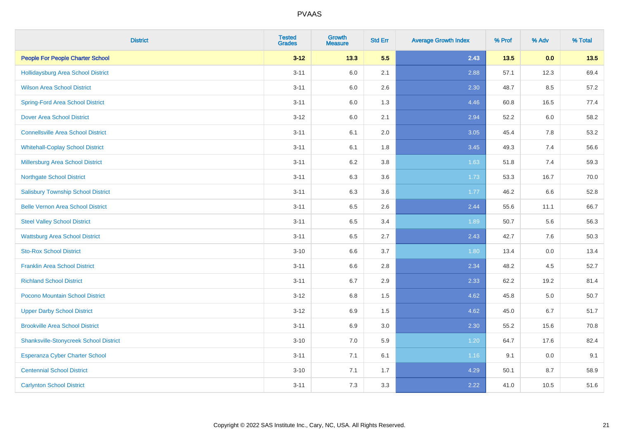| <b>District</b>                               | <b>Tested</b><br><b>Grades</b> | <b>Growth</b><br><b>Measure</b> | <b>Std Err</b> | <b>Average Growth Index</b> | % Prof | % Adv | % Total |
|-----------------------------------------------|--------------------------------|---------------------------------|----------------|-----------------------------|--------|-------|---------|
| <b>People For People Charter School</b>       | $3 - 12$                       | 13.3                            | 5.5            | 2.43                        | $13.5$ | 0.0   | 13.5    |
| <b>Hollidaysburg Area School District</b>     | $3 - 11$                       | 6.0                             | 2.1            | 2.88                        | 57.1   | 12.3  | 69.4    |
| <b>Wilson Area School District</b>            | $3 - 11$                       | 6.0                             | 2.6            | 2.30                        | 48.7   | 8.5   | 57.2    |
| <b>Spring-Ford Area School District</b>       | $3 - 11$                       | 6.0                             | 1.3            | 4.46                        | 60.8   | 16.5  | 77.4    |
| <b>Dover Area School District</b>             | $3 - 12$                       | 6.0                             | 2.1            | 2.94                        | 52.2   | 6.0   | 58.2    |
| <b>Connellsville Area School District</b>     | $3 - 11$                       | 6.1                             | 2.0            | 3.05                        | 45.4   | 7.8   | 53.2    |
| <b>Whitehall-Coplay School District</b>       | $3 - 11$                       | 6.1                             | 1.8            | 3.45                        | 49.3   | 7.4   | 56.6    |
| <b>Millersburg Area School District</b>       | $3 - 11$                       | 6.2                             | 3.8            | 1.63                        | 51.8   | 7.4   | 59.3    |
| <b>Northgate School District</b>              | $3 - 11$                       | 6.3                             | 3.6            | 1.73                        | 53.3   | 16.7  | 70.0    |
| <b>Salisbury Township School District</b>     | $3 - 11$                       | 6.3                             | 3.6            | 1.77                        | 46.2   | 6.6   | 52.8    |
| <b>Belle Vernon Area School District</b>      | $3 - 11$                       | 6.5                             | 2.6            | 2.44                        | 55.6   | 11.1  | 66.7    |
| <b>Steel Valley School District</b>           | $3 - 11$                       | 6.5                             | 3.4            | 1.89                        | 50.7   | 5.6   | 56.3    |
| <b>Wattsburg Area School District</b>         | $3 - 11$                       | $6.5\,$                         | 2.7            | 2.43                        | 42.7   | 7.6   | 50.3    |
| <b>Sto-Rox School District</b>                | $3 - 10$                       | 6.6                             | 3.7            | 1.80                        | 13.4   | 0.0   | 13.4    |
| <b>Franklin Area School District</b>          | $3 - 11$                       | 6.6                             | 2.8            | 2.34                        | 48.2   | 4.5   | 52.7    |
| <b>Richland School District</b>               | $3 - 11$                       | 6.7                             | 2.9            | 2.33                        | 62.2   | 19.2  | 81.4    |
| Pocono Mountain School District               | $3 - 12$                       | 6.8                             | 1.5            | 4.62                        | 45.8   | 5.0   | 50.7    |
| <b>Upper Darby School District</b>            | $3 - 12$                       | 6.9                             | 1.5            | 4.62                        | 45.0   | 6.7   | 51.7    |
| <b>Brookville Area School District</b>        | $3 - 11$                       | 6.9                             | 3.0            | 2.30                        | 55.2   | 15.6  | 70.8    |
| <b>Shanksville-Stonycreek School District</b> | $3 - 10$                       | 7.0                             | 5.9            | 1.20                        | 64.7   | 17.6  | 82.4    |
| Esperanza Cyber Charter School                | $3 - 11$                       | 7.1                             | 6.1            | 1.16                        | 9.1    | 0.0   | 9.1     |
| <b>Centennial School District</b>             | $3 - 10$                       | 7.1                             | 1.7            | 4.29                        | 50.1   | 8.7   | 58.9    |
| <b>Carlynton School District</b>              | $3 - 11$                       | 7.3                             | 3.3            | 2.22                        | 41.0   | 10.5  | 51.6    |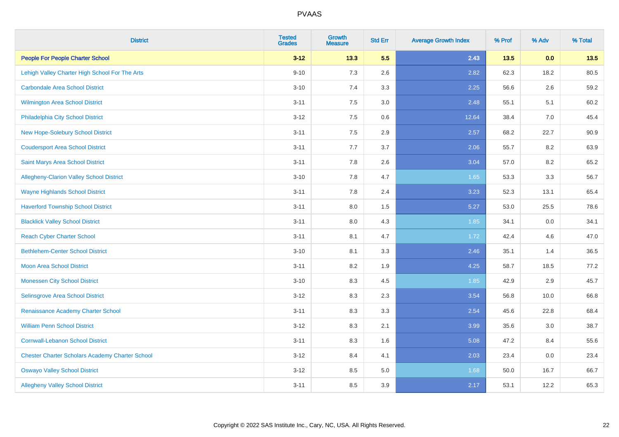| <b>District</b>                                        | <b>Tested</b><br><b>Grades</b> | <b>Growth</b><br><b>Measure</b> | <b>Std Err</b> | <b>Average Growth Index</b> | % Prof | % Adv | % Total |
|--------------------------------------------------------|--------------------------------|---------------------------------|----------------|-----------------------------|--------|-------|---------|
| <b>People For People Charter School</b>                | $3 - 12$                       | 13.3                            | 5.5            | 2.43                        | $13.5$ | 0.0   | 13.5    |
| Lehigh Valley Charter High School For The Arts         | $9 - 10$                       | 7.3                             | 2.6            | 2.82                        | 62.3   | 18.2  | 80.5    |
| <b>Carbondale Area School District</b>                 | $3 - 10$                       | 7.4                             | 3.3            | 2.25                        | 56.6   | 2.6   | 59.2    |
| <b>Wilmington Area School District</b>                 | $3 - 11$                       | 7.5                             | 3.0            | 2.48                        | 55.1   | 5.1   | 60.2    |
| Philadelphia City School District                      | $3 - 12$                       | 7.5                             | 0.6            | 12.64                       | 38.4   | 7.0   | 45.4    |
| New Hope-Solebury School District                      | $3 - 11$                       | 7.5                             | 2.9            | 2.57                        | 68.2   | 22.7  | 90.9    |
| <b>Coudersport Area School District</b>                | $3 - 11$                       | 7.7                             | 3.7            | 2.06                        | 55.7   | 8.2   | 63.9    |
| Saint Marys Area School District                       | $3 - 11$                       | 7.8                             | 2.6            | 3.04                        | 57.0   | 8.2   | 65.2    |
| Allegheny-Clarion Valley School District               | $3 - 10$                       | 7.8                             | 4.7            | 1.65                        | 53.3   | 3.3   | 56.7    |
| <b>Wayne Highlands School District</b>                 | $3 - 11$                       | 7.8                             | 2.4            | 3.23                        | 52.3   | 13.1  | 65.4    |
| <b>Haverford Township School District</b>              | $3 - 11$                       | 8.0                             | 1.5            | 5.27                        | 53.0   | 25.5  | 78.6    |
| <b>Blacklick Valley School District</b>                | $3 - 11$                       | 8.0                             | 4.3            | 1.85                        | 34.1   | 0.0   | 34.1    |
| <b>Reach Cyber Charter School</b>                      | $3 - 11$                       | 8.1                             | 4.7            | 1.72                        | 42.4   | 4.6   | 47.0    |
| <b>Bethlehem-Center School District</b>                | $3 - 10$                       | 8.1                             | 3.3            | 2.46                        | 35.1   | 1.4   | 36.5    |
| Moon Area School District                              | $3 - 11$                       | 8.2                             | 1.9            | 4.25                        | 58.7   | 18.5  | 77.2    |
| <b>Monessen City School District</b>                   | $3 - 10$                       | 8.3                             | 4.5            | 1.85                        | 42.9   | 2.9   | 45.7    |
| Selinsgrove Area School District                       | $3 - 12$                       | 8.3                             | 2.3            | 3.54                        | 56.8   | 10.0  | 66.8    |
| Renaissance Academy Charter School                     | $3 - 11$                       | 8.3                             | 3.3            | 2.54                        | 45.6   | 22.8  | 68.4    |
| <b>William Penn School District</b>                    | $3 - 12$                       | 8.3                             | 2.1            | 3.99                        | 35.6   | 3.0   | 38.7    |
| <b>Cornwall-Lebanon School District</b>                | $3 - 11$                       | 8.3                             | 1.6            | 5.08                        | 47.2   | 8.4   | 55.6    |
| <b>Chester Charter Scholars Academy Charter School</b> | $3 - 12$                       | 8.4                             | 4.1            | 2.03                        | 23.4   | 0.0   | 23.4    |
| <b>Oswayo Valley School District</b>                   | $3 - 12$                       | 8.5                             | 5.0            | 1.68                        | 50.0   | 16.7  | 66.7    |
| <b>Allegheny Valley School District</b>                | $3 - 11$                       | 8.5                             | 3.9            | 2.17                        | 53.1   | 12.2  | 65.3    |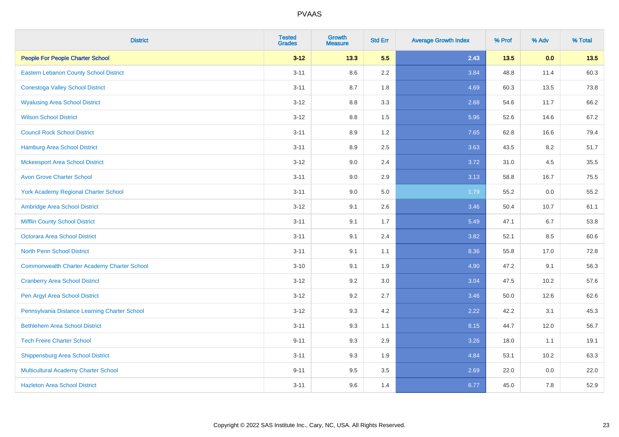| <b>District</b>                                    | <b>Tested</b><br><b>Grades</b> | <b>Growth</b><br><b>Measure</b> | <b>Std Err</b> | <b>Average Growth Index</b> | % Prof | % Adv   | % Total |
|----------------------------------------------------|--------------------------------|---------------------------------|----------------|-----------------------------|--------|---------|---------|
| <b>People For People Charter School</b>            | $3 - 12$                       | 13.3                            | 5.5            | 2.43                        | 13.5   | 0.0     | 13.5    |
| Eastern Lebanon County School District             | $3 - 11$                       | $8.6\,$                         | 2.2            | 3.84                        | 48.8   | 11.4    | 60.3    |
| <b>Conestoga Valley School District</b>            | $3 - 11$                       | 8.7                             | 1.8            | 4.69                        | 60.3   | 13.5    | 73.8    |
| <b>Wyalusing Area School District</b>              | $3-12$                         | 8.8                             | 3.3            | 2.68                        | 54.6   | 11.7    | 66.2    |
| <b>Wilson School District</b>                      | $3-12$                         | 8.8                             | 1.5            | 5.96                        | 52.6   | 14.6    | 67.2    |
| <b>Council Rock School District</b>                | $3 - 11$                       | 8.9                             | 1.2            | 7.65                        | 62.8   | 16.6    | 79.4    |
| <b>Hamburg Area School District</b>                | $3 - 11$                       | 8.9                             | 2.5            | 3.63                        | 43.5   | 8.2     | 51.7    |
| <b>Mckeesport Area School District</b>             | $3-12$                         | 9.0                             | 2.4            | 3.72                        | 31.0   | 4.5     | 35.5    |
| <b>Avon Grove Charter School</b>                   | $3 - 11$                       | 9.0                             | 2.9            | 3.13                        | 58.8   | 16.7    | 75.5    |
| <b>York Academy Regional Charter School</b>        | $3 - 11$                       | 9.0                             | 5.0            | 1.79                        | 55.2   | 0.0     | 55.2    |
| Ambridge Area School District                      | $3 - 12$                       | 9.1                             | 2.6            | 3.46                        | 50.4   | 10.7    | 61.1    |
| <b>Mifflin County School District</b>              | $3 - 11$                       | 9.1                             | 1.7            | 5.49                        | 47.1   | 6.7     | 53.8    |
| Octorara Area School District                      | $3 - 11$                       | 9.1                             | 2.4            | 3.82                        | 52.1   | 8.5     | 60.6    |
| <b>North Penn School District</b>                  | $3 - 11$                       | 9.1                             | 1.1            | 8.36                        | 55.8   | 17.0    | 72.8    |
| <b>Commonwealth Charter Academy Charter School</b> | $3 - 10$                       | 9.1                             | 1.9            | 4.90                        | 47.2   | 9.1     | 56.3    |
| <b>Cranberry Area School District</b>              | $3 - 12$                       | 9.2                             | 3.0            | 3.04                        | 47.5   | 10.2    | 57.6    |
| Pen Argyl Area School District                     | $3 - 12$                       | 9.2                             | 2.7            | 3.46                        | 50.0   | 12.6    | 62.6    |
| Pennsylvania Distance Learning Charter School      | $3-12$                         | 9.3                             | 4.2            | 2.22                        | 42.2   | 3.1     | 45.3    |
| <b>Bethlehem Area School District</b>              | $3 - 11$                       | 9.3                             | 1.1            | 8.15                        | 44.7   | 12.0    | 56.7    |
| <b>Tech Freire Charter School</b>                  | $9 - 11$                       | 9.3                             | 2.9            | 3.26                        | 18.0   | 1.1     | 19.1    |
| <b>Shippensburg Area School District</b>           | $3 - 11$                       | 9.3                             | 1.9            | 4.84                        | 53.1   | 10.2    | 63.3    |
| Multicultural Academy Charter School               | $9 - 11$                       | 9.5                             | 3.5            | 2.69                        | 22.0   | $0.0\,$ | 22.0    |
| <b>Hazleton Area School District</b>               | $3 - 11$                       | 9.6                             | 1.4            | 6.77                        | 45.0   | 7.8     | 52.9    |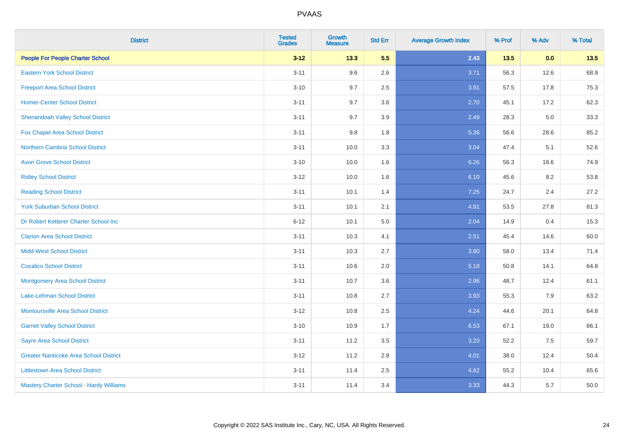| <b>District</b>                               | <b>Tested</b><br><b>Grades</b> | <b>Growth</b><br><b>Measure</b> | <b>Std Err</b> | <b>Average Growth Index</b> | % Prof | % Adv   | % Total |
|-----------------------------------------------|--------------------------------|---------------------------------|----------------|-----------------------------|--------|---------|---------|
| <b>People For People Charter School</b>       | $3 - 12$                       | 13.3                            | 5.5            | 2.43                        | $13.5$ | 0.0     | 13.5    |
| <b>Eastern York School District</b>           | $3 - 11$                       | 9.6                             | 2.6            | 3.71                        | 56.3   | 12.6    | 68.9    |
| <b>Freeport Area School District</b>          | $3 - 10$                       | 9.7                             | 2.5            | 3.91                        | 57.5   | 17.8    | 75.3    |
| <b>Homer-Center School District</b>           | $3 - 11$                       | 9.7                             | 3.6            | 2.70                        | 45.1   | 17.2    | 62.3    |
| <b>Shenandoah Valley School District</b>      | $3 - 11$                       | 9.7                             | 3.9            | 2.49                        | 28.3   | 5.0     | 33.3    |
| Fox Chapel Area School District               | $3 - 11$                       | 9.8                             | 1.8            | 5.36                        | 56.6   | 28.6    | 85.2    |
| Northern Cambria School District              | $3 - 11$                       | 10.0                            | 3.3            | 3.04                        | 47.4   | 5.1     | 52.6    |
| <b>Avon Grove School District</b>             | $3 - 10$                       | 10.0                            | 1.6            | 6.26                        | 56.3   | 18.6    | 74.9    |
| <b>Ridley School District</b>                 | $3 - 12$                       | 10.0                            | 1.6            | 6.10                        | 45.6   | 8.2     | 53.8    |
| <b>Reading School District</b>                | $3 - 11$                       | 10.1                            | 1.4            | 7.25                        | 24.7   | $2.4\,$ | 27.2    |
| <b>York Suburban School District</b>          | $3 - 11$                       | 10.1                            | 2.1            | 4.91                        | 53.5   | 27.8    | 81.3    |
| Dr Robert Ketterer Charter School Inc         | $6 - 12$                       | 10.1                            | 5.0            | 2.04                        | 14.9   | 0.4     | 15.3    |
| <b>Clarion Area School District</b>           | $3 - 11$                       | 10.3                            | 4.1            | 2.51                        | 45.4   | 14.6    | 60.0    |
| <b>Midd-West School District</b>              | $3 - 11$                       | 10.3                            | 2.7            | 3.80                        | 58.0   | 13.4    | 71.4    |
| <b>Cocalico School District</b>               | $3 - 11$                       | 10.6                            | 2.0            | 5.18                        | 50.8   | 14.1    | 64.8    |
| <b>Montgomery Area School District</b>        | $3 - 11$                       | 10.7                            | 3.6            | 2.96                        | 48.7   | 12.4    | 61.1    |
| Lake-Lehman School District                   | $3 - 11$                       | 10.8                            | 2.7            | 3.93                        | 55.3   | 7.9     | 63.2    |
| <b>Montoursville Area School District</b>     | $3 - 12$                       | 10.8                            | 2.5            | 4.24                        | 44.6   | 20.1    | 64.8    |
| <b>Garnet Valley School District</b>          | $3 - 10$                       | 10.9                            | 1.7            | 6.53                        | 67.1   | 19.0    | 86.1    |
| <b>Sayre Area School District</b>             | $3 - 11$                       | 11.2                            | 3.5            | 3.20                        | 52.2   | 7.5     | 59.7    |
| <b>Greater Nanticoke Area School District</b> | $3 - 12$                       | 11.2                            | 2.8            | 4.01                        | 38.0   | 12.4    | 50.4    |
| <b>Littlestown Area School District</b>       | $3 - 11$                       | 11.4                            | 2.5            | 4.62                        | 55.2   | 10.4    | 65.6    |
| Mastery Charter School - Hardy Williams       | $3 - 11$                       | 11.4                            | 3.4            | 3.33                        | 44.3   | 5.7     | 50.0    |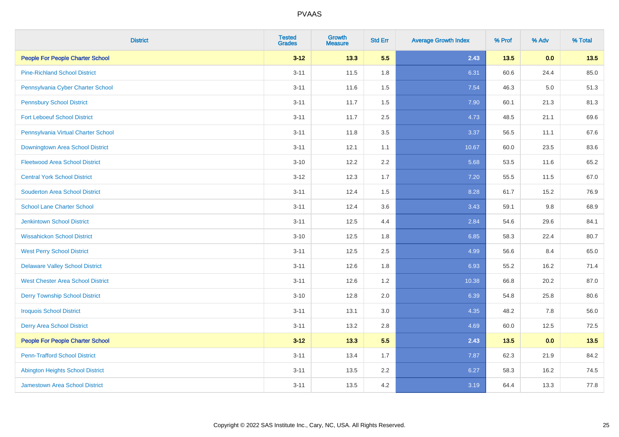| <b>District</b>                          | <b>Tested</b><br><b>Grades</b> | <b>Growth</b><br><b>Measure</b> | <b>Std Err</b> | <b>Average Growth Index</b> | % Prof | % Adv   | % Total |
|------------------------------------------|--------------------------------|---------------------------------|----------------|-----------------------------|--------|---------|---------|
| <b>People For People Charter School</b>  | $3 - 12$                       | 13.3                            | 5.5            | 2.43                        | $13.5$ | 0.0     | 13.5    |
| <b>Pine-Richland School District</b>     | $3 - 11$                       | 11.5                            | 1.8            | 6.31                        | 60.6   | 24.4    | 85.0    |
| Pennsylvania Cyber Charter School        | $3 - 11$                       | 11.6                            | 1.5            | 7.54                        | 46.3   | $5.0\,$ | 51.3    |
| <b>Pennsbury School District</b>         | $3 - 11$                       | 11.7                            | 1.5            | 7.90                        | 60.1   | 21.3    | 81.3    |
| <b>Fort Leboeuf School District</b>      | $3 - 11$                       | 11.7                            | 2.5            | 4.73                        | 48.5   | 21.1    | 69.6    |
| Pennsylvania Virtual Charter School      | $3 - 11$                       | 11.8                            | 3.5            | 3.37                        | 56.5   | 11.1    | 67.6    |
| Downingtown Area School District         | $3 - 11$                       | 12.1                            | 1.1            | 10.67                       | 60.0   | 23.5    | 83.6    |
| <b>Fleetwood Area School District</b>    | $3 - 10$                       | 12.2                            | 2.2            | 5.68                        | 53.5   | 11.6    | 65.2    |
| <b>Central York School District</b>      | $3 - 12$                       | 12.3                            | 1.7            | 7.20                        | 55.5   | 11.5    | 67.0    |
| <b>Souderton Area School District</b>    | $3 - 11$                       | 12.4                            | 1.5            | 8.28                        | 61.7   | 15.2    | 76.9    |
| <b>School Lane Charter School</b>        | $3 - 11$                       | 12.4                            | 3.6            | 3.43                        | 59.1   | 9.8     | 68.9    |
| <b>Jenkintown School District</b>        | $3 - 11$                       | 12.5                            | 4.4            | 2.84                        | 54.6   | 29.6    | 84.1    |
| <b>Wissahickon School District</b>       | $3 - 10$                       | 12.5                            | 1.8            | 6.85                        | 58.3   | 22.4    | 80.7    |
| <b>West Perry School District</b>        | $3 - 11$                       | 12.5                            | 2.5            | 4.99                        | 56.6   | 8.4     | 65.0    |
| <b>Delaware Valley School District</b>   | $3 - 11$                       | 12.6                            | 1.8            | 6.93                        | 55.2   | 16.2    | 71.4    |
| <b>West Chester Area School District</b> | $3 - 11$                       | 12.6                            | 1.2            | 10.38                       | 66.8   | 20.2    | 87.0    |
| <b>Derry Township School District</b>    | $3 - 10$                       | 12.8                            | 2.0            | 6.39                        | 54.8   | 25.8    | 80.6    |
| <b>Iroquois School District</b>          | $3 - 11$                       | 13.1                            | 3.0            | 4.35                        | 48.2   | 7.8     | 56.0    |
| <b>Derry Area School District</b>        | $3 - 11$                       | 13.2                            | 2.8            | 4.69                        | 60.0   | 12.5    | 72.5    |
| <b>People For People Charter School</b>  | $3 - 12$                       | 13.3                            | 5.5            | 2.43                        | $13.5$ | 0.0     | 13.5    |
| <b>Penn-Trafford School District</b>     | $3 - 11$                       | 13.4                            | 1.7            | 7.87                        | 62.3   | 21.9    | 84.2    |
| <b>Abington Heights School District</b>  | $3 - 11$                       | 13.5                            | 2.2            | 6.27                        | 58.3   | 16.2    | 74.5    |
| <b>Jamestown Area School District</b>    | $3 - 11$                       | 13.5                            | 4.2            | 3.19                        | 64.4   | 13.3    | 77.8    |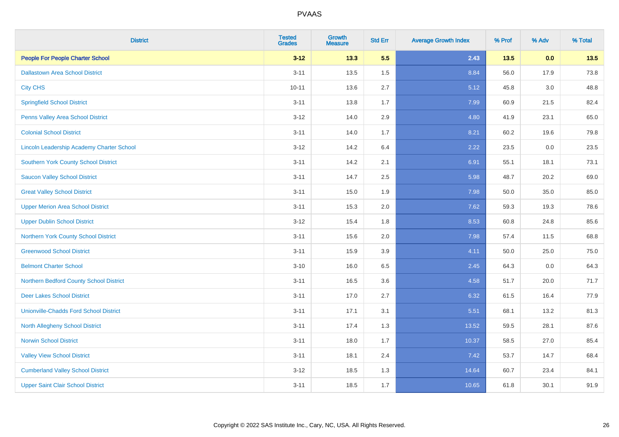| <b>District</b>                                  | <b>Tested</b><br><b>Grades</b> | <b>Growth</b><br><b>Measure</b> | <b>Std Err</b> | <b>Average Growth Index</b> | % Prof | % Adv   | % Total |
|--------------------------------------------------|--------------------------------|---------------------------------|----------------|-----------------------------|--------|---------|---------|
| <b>People For People Charter School</b>          | $3 - 12$                       | 13.3                            | 5.5            | 2.43                        | $13.5$ | 0.0     | 13.5    |
| <b>Dallastown Area School District</b>           | $3 - 11$                       | 13.5                            | 1.5            | 8.84                        | 56.0   | 17.9    | 73.8    |
| <b>City CHS</b>                                  | $10 - 11$                      | 13.6                            | 2.7            | 5.12                        | 45.8   | 3.0     | 48.8    |
| <b>Springfield School District</b>               | $3 - 11$                       | 13.8                            | 1.7            | 7.99                        | 60.9   | 21.5    | 82.4    |
| Penns Valley Area School District                | $3 - 12$                       | 14.0                            | 2.9            | 4.80                        | 41.9   | 23.1    | 65.0    |
| <b>Colonial School District</b>                  | $3 - 11$                       | 14.0                            | 1.7            | 8.21                        | 60.2   | 19.6    | 79.8    |
| <b>Lincoln Leadership Academy Charter School</b> | $3 - 12$                       | 14.2                            | 6.4            | 2.22                        | 23.5   | $0.0\,$ | 23.5    |
| <b>Southern York County School District</b>      | $3 - 11$                       | 14.2                            | 2.1            | 6.91                        | 55.1   | 18.1    | 73.1    |
| <b>Saucon Valley School District</b>             | $3 - 11$                       | 14.7                            | 2.5            | 5.98                        | 48.7   | 20.2    | 69.0    |
| <b>Great Valley School District</b>              | $3 - 11$                       | 15.0                            | 1.9            | 7.98                        | 50.0   | 35.0    | 85.0    |
| <b>Upper Merion Area School District</b>         | $3 - 11$                       | 15.3                            | 2.0            | 7.62                        | 59.3   | 19.3    | 78.6    |
| <b>Upper Dublin School District</b>              | $3 - 12$                       | 15.4                            | 1.8            | 8.53                        | 60.8   | 24.8    | 85.6    |
| Northern York County School District             | $3 - 11$                       | 15.6                            | 2.0            | 7.98                        | 57.4   | 11.5    | 68.8    |
| <b>Greenwood School District</b>                 | $3 - 11$                       | 15.9                            | 3.9            | 4.11                        | 50.0   | 25.0    | 75.0    |
| <b>Belmont Charter School</b>                    | $3 - 10$                       | 16.0                            | 6.5            | 2.45                        | 64.3   | 0.0     | 64.3    |
| Northern Bedford County School District          | $3 - 11$                       | 16.5                            | 3.6            | 4.58                        | 51.7   | 20.0    | 71.7    |
| <b>Deer Lakes School District</b>                | $3 - 11$                       | 17.0                            | 2.7            | 6.32                        | 61.5   | 16.4    | 77.9    |
| <b>Unionville-Chadds Ford School District</b>    | $3 - 11$                       | 17.1                            | 3.1            | 5.51                        | 68.1   | 13.2    | 81.3    |
| <b>North Allegheny School District</b>           | $3 - 11$                       | 17.4                            | 1.3            | 13.52                       | 59.5   | 28.1    | 87.6    |
| <b>Norwin School District</b>                    | $3 - 11$                       | 18.0                            | 1.7            | 10.37                       | 58.5   | 27.0    | 85.4    |
| <b>Valley View School District</b>               | $3 - 11$                       | 18.1                            | 2.4            | 7.42                        | 53.7   | 14.7    | 68.4    |
| <b>Cumberland Valley School District</b>         | $3 - 12$                       | 18.5                            | 1.3            | 14.64                       | 60.7   | 23.4    | 84.1    |
| <b>Upper Saint Clair School District</b>         | $3 - 11$                       | 18.5                            | 1.7            | 10.65                       | 61.8   | 30.1    | 91.9    |